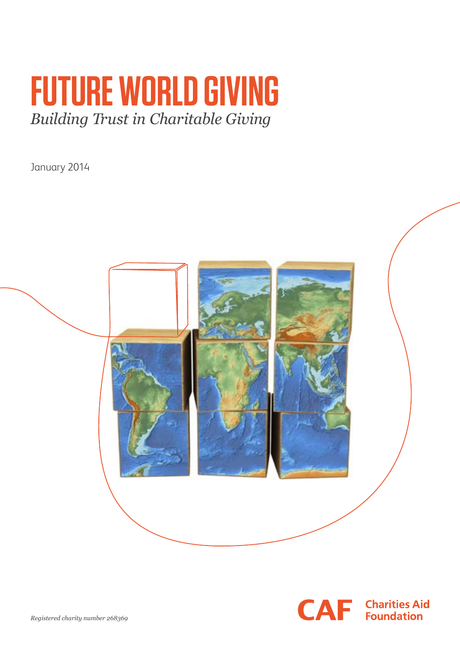# **FUTURE WORLD GIVING**  *Building Trust in Charitable Giving*

January 2014



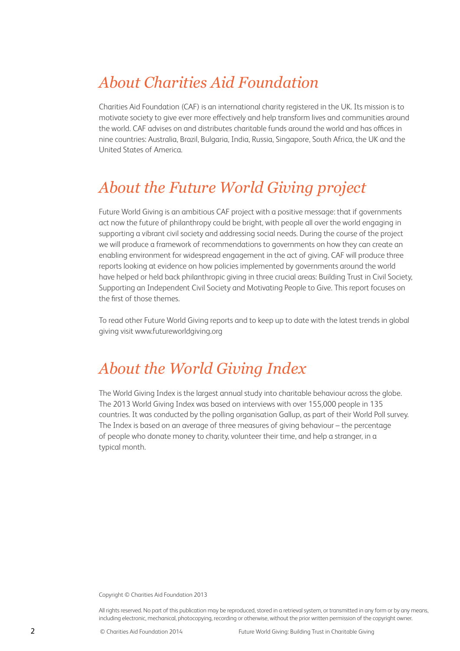## *About Charities Aid Foundation*

Charities Aid Foundation (CAF) is an international charity registered in the UK. Its mission is to motivate society to give ever more effectively and help transform lives and communities around the world. CAF advises on and distributes charitable funds around the world and has offices in nine countries: Australia, Brazil, Bulgaria, India, Russia, Singapore, South Africa, the UK and the United States of America.

### *About the Future World Giving project*

Future World Giving is an ambitious CAF project with a positive message: that if governments act now the future of philanthropy could be bright, with people all over the world engaging in supporting a vibrant civil society and addressing social needs. During the course of the project we will produce a framework of recommendations to governments on how they can create an enabling environment for widespread engagement in the act of giving. CAF will produce three reports looking at evidence on how policies implemented by governments around the world have helped or held back philanthropic giving in three crucial areas: Building Trust in Civil Society, Supporting an Independent Civil Society and Motivating People to Give. This report focuses on the first of those themes.

To read other Future World Giving reports and to keep up to date with the latest trends in global giving visit www.futureworldgiving.org

### *About the World Giving Index*

The World Giving Index is the largest annual study into charitable behaviour across the globe. The 2013 World Giving Index was based on interviews with over 155,000 people in 135 countries. It was conducted by the polling organisation Gallup, as part of their World Poll survey. The Index is based on an average of three measures of giving behaviour – the percentage of people who donate money to charity, volunteer their time, and help a stranger, in a typical month.

Copyright © Charities Aid Foundation 2013

All rights reserved. No part of this publication may be reproduced, stored in a retrieval system, or transmitted in any form or by any means, including electronic, mechanical, photocopying, recording or otherwise, without the prior written permission of the copyright owner.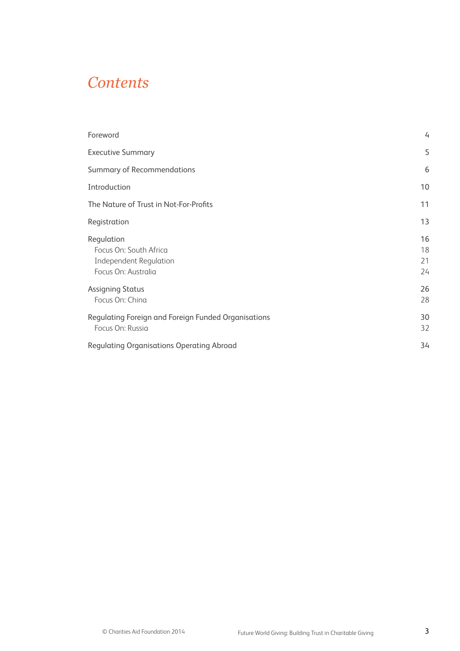### *Contents*

| Foreword                                                                                     | $\overline{4}$       |
|----------------------------------------------------------------------------------------------|----------------------|
| <b>Executive Summary</b>                                                                     | 5                    |
| Summary of Recommendations                                                                   | 6                    |
| Introduction                                                                                 | 10                   |
| The Nature of Trust in Not-For-Profits                                                       | 11                   |
| Registration                                                                                 | 13                   |
| Regulation<br>Focus On: South Africa<br><b>Independent Regulation</b><br>Focus On: Australia | 16<br>18<br>21<br>24 |
| <b>Assigning Status</b><br>Focus On: China                                                   | 26<br>28             |
| Regulating Foreign and Foreign Funded Organisations<br>Focus On: Russia                      | 30<br>32             |
| <b>Regulating Organisations Operating Abroad</b>                                             | 34                   |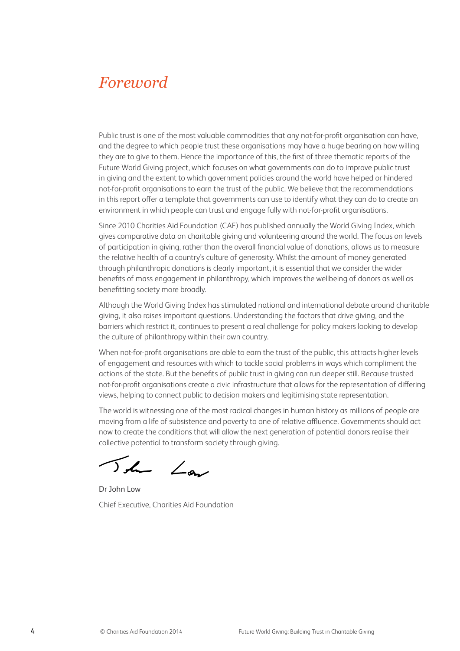### *Foreword*

Public trust is one of the most valuable commodities that any not-for-profit organisation can have, and the degree to which people trust these organisations may have a huge bearing on how willing they are to give to them. Hence the importance of this, the first of three thematic reports of the Future World Giving project, which focuses on what governments can do to improve public trust in giving and the extent to which government policies around the world have helped or hindered not-for-profit organisations to earn the trust of the public. We believe that the recommendations in this report offer a template that governments can use to identify what they can do to create an environment in which people can trust and engage fully with not-for-profit organisations.

Since 2010 Charities Aid Foundation (CAF) has published annually the World Giving Index, which gives comparative data on charitable giving and volunteering around the world. The focus on levels of participation in giving, rather than the overall financial value of donations, allows us to measure the relative health of a country's culture of generosity. Whilst the amount of money generated through philanthropic donations is clearly important, it is essential that we consider the wider benefits of mass engagement in philanthropy, which improves the wellbeing of donors as well as benefitting society more broadly.

Although the World Giving Index has stimulated national and international debate around charitable giving, it also raises important questions. Understanding the factors that drive giving, and the barriers which restrict it, continues to present a real challenge for policy makers looking to develop the culture of philanthropy within their own country.

When not-for-profit organisations are able to earn the trust of the public, this attracts higher levels of engagement and resources with which to tackle social problems in ways which compliment the actions of the state. But the benefits of public trust in giving can run deeper still. Because trusted not-for-profit organisations create a civic infrastructure that allows for the representation of differing views, helping to connect public to decision makers and legitimising state representation.

The world is witnessing one of the most radical changes in human history as millions of people are moving from a life of subsistence and poverty to one of relative affluence. Governments should act now to create the conditions that will allow the next generation of potential donors realise their collective potential to transform society through giving.

The Law

Dr John Low Chief Executive, Charities Aid Foundation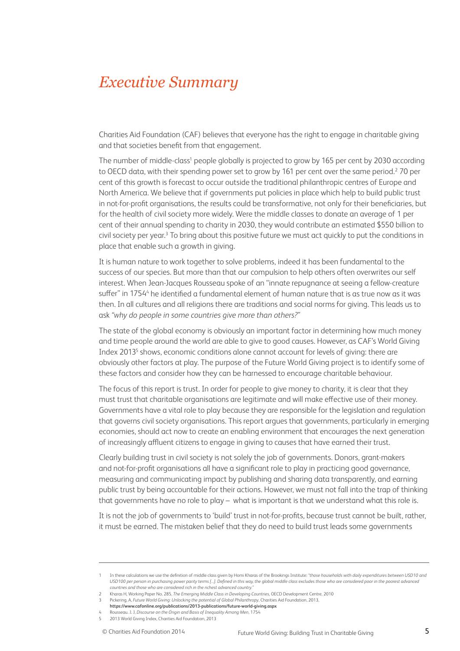### *Executive Summary*

Charities Aid Foundation (CAF) believes that everyone has the right to engage in charitable giving and that societies benefit from that engagement.

The number of middle-class<sup>1</sup> people globally is projected to grow by 165 per cent by 2030 according to OECD data, with their spending power set to grow by 161 per cent over the same period.2 70 per cent of this growth is forecast to occur outside the traditional philanthropic centres of Europe and North America. We believe that if governments put policies in place which help to build public trust in not-for-profit organisations, the results could be transformative, not only for their beneficiaries, but for the health of civil society more widely. Were the middle classes to donate an average of 1 per cent of their annual spending to charity in 2030, they would contribute an estimated \$550 billion to civil society per year.<sup>3</sup> To bring about this positive future we must act quickly to put the conditions in place that enable such a growth in giving.

It is human nature to work together to solve problems, indeed it has been fundamental to the success of our species. But more than that our compulsion to help others often overwrites our self interest. When Jean-Jacques Rousseau spoke of an "innate repugnance at seeing a fellow-creature suffer" in 1754<sup>4</sup> he identified a fundamental element of human nature that is as true now as it was then. In all cultures and all religions there are traditions and social norms for giving. This leads us to ask *"why do people in some countries give more than others?"*

The state of the global economy is obviously an important factor in determining how much money and time people around the world are able to give to good causes. However, as CAF's World Giving Index 2013<sup>5</sup> shows, economic conditions alone cannot account for levels of giving: there are obviously other factors at play. The purpose of the Future World Giving project is to identify some of these factors and consider how they can be harnessed to encourage charitable behaviour.

The focus of this report is trust. In order for people to give money to charity, it is clear that they must trust that charitable organisations are legitimate and will make effective use of their money. Governments have a vital role to play because they are responsible for the legislation and regulation that governs civil society organisations. This report argues that governments, particularly in emerging economies, should act now to create an enabling environment that encourages the next generation of increasingly affluent citizens to engage in giving to causes that have earned their trust.

Clearly building trust in civil society is not solely the job of governments. Donors, grant-makers and not-for-profit organisations all have a significant role to play in practicing good governance, measuring and communicating impact by publishing and sharing data transparently, and earning public trust by being accountable for their actions. However, we must not fall into the trap of thinking that governments have no role to play – what is important is that we understand what this role is.

It is not the job of governments to 'build' trust in not-for-profits, because trust cannot be built, rather, it must be earned. The mistaken belief that they do need to build trust leads some governments

<sup>1</sup> In these calculations we use the definition of middle class given by Homi Kharas of the Brookings Institute: *"those households with daily expenditures between USD10 and*  USD100 per person in purchasing power parity terms [...]. Defined in this way, the global middle class excludes those who are considered poor in the poorest advanced *countries and those who are considered rich in the richest advanced country."*

<sup>2</sup> Kharas H, Working Paper No. 285, *The Emerging Middle Class in Developing Countries*, OECD Development Centre, 2010

<sup>3</sup> Pickering. A, *Future World Giving: Unlocking the potential of Global Philanthropy*, Charities Aid Foundation, 2013,

**https://www.cafonline.org/publications/2013-publications/future-world-giving.aspx**

<sup>4</sup> Rousseau. J. J, *Discourse on the Origin and Basis of Inequality Among Men*, 1754

<sup>5 2013</sup> World Giving Index, Charities Aid Foundation, 2013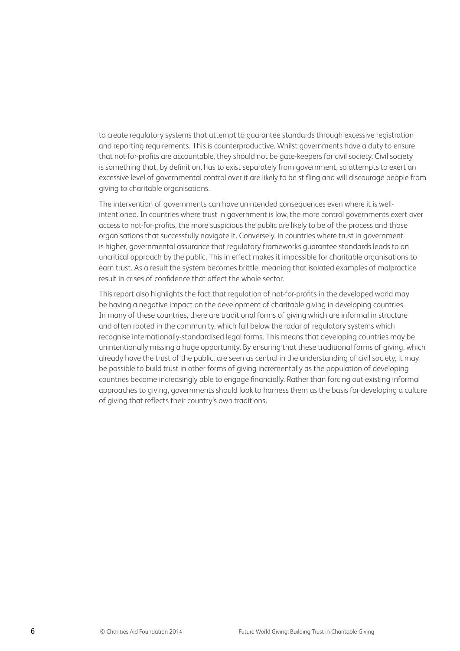to create regulatory systems that attempt to guarantee standards through excessive registration and reporting requirements. This is counterproductive. Whilst governments have a duty to ensure that not-for-profits are accountable, they should not be gate-keepers for civil society. Civil society is something that, by definition, has to exist separately from government, so attempts to exert an excessive level of governmental control over it are likely to be stifling and will discourage people from giving to charitable organisations.

The intervention of governments can have unintended consequences even where it is wellintentioned. In countries where trust in government is low, the more control governments exert over access to not-for-profits, the more suspicious the public are likely to be of the process and those organisations that successfully navigate it. Conversely, in countries where trust in government is higher, governmental assurance that regulatory frameworks guarantee standards leads to an uncritical approach by the public. This in effect makes it impossible for charitable organisations to earn trust. As a result the system becomes brittle, meaning that isolated examples of malpractice result in crises of confidence that affect the whole sector.

This report also highlights the fact that regulation of not-for-profits in the developed world may be having a negative impact on the development of charitable giving in developing countries. In many of these countries, there are traditional forms of giving which are informal in structure and often rooted in the community, which fall below the radar of regulatory systems which recognise internationally-standardised legal forms. This means that developing countries may be unintentionally missing a huge opportunity. By ensuring that these traditional forms of giving, which already have the trust of the public, are seen as central in the understanding of civil society, it may be possible to build trust in other forms of giving incrementally as the population of developing countries become increasingly able to engage financially. Rather than forcing out existing informal approaches to giving, governments should look to harness them as the basis for developing a culture of giving that reflects their country's own traditions.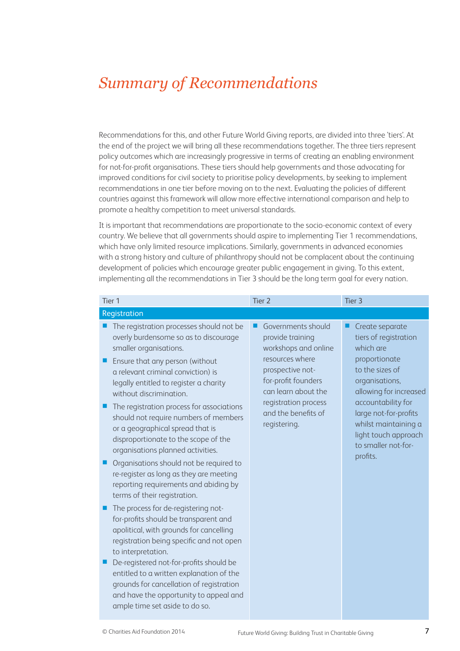# *Summary of Recommendations*

Recommendations for this, and other Future World Giving reports, are divided into three 'tiers'. At the end of the project we will bring all these recommendations together. The three tiers represent policy outcomes which are increasingly progressive in terms of creating an enabling environment for not-for-profit organisations. These tiers should help governments and those advocating for improved conditions for civil society to prioritise policy developments, by seeking to implement recommendations in one tier before moving on to the next. Evaluating the policies of different countries against this framework will allow more effective international comparison and help to promote a healthy competition to meet universal standards.

It is important that recommendations are proportionate to the socio-economic context of every country. We believe that all governments should aspire to implementing Tier 1 recommendations, which have only limited resource implications. Similarly, governments in advanced economies with a strong history and culture of philanthropy should not be complacent about the continuing development of policies which encourage greater public engagement in giving. To this extent, implementing all the recommendations in Tier 3 should be the long term goal for every nation.

| Tier 1                                                                                                                                                                                                      | Tier <sub>2</sub>                                                                 | Tier <sub>3</sub>                                                                                                              |
|-------------------------------------------------------------------------------------------------------------------------------------------------------------------------------------------------------------|-----------------------------------------------------------------------------------|--------------------------------------------------------------------------------------------------------------------------------|
| Registration                                                                                                                                                                                                |                                                                                   |                                                                                                                                |
| The registration processes should not be<br>overly burdensome so as to discourage<br>smaller organisations.                                                                                                 | Governments should<br>provide training<br>workshops and online                    | Create separate<br>tiers of registration<br>which are                                                                          |
| Ensure that any person (without<br>a relevant criminal conviction) is<br>legally entitled to register a charity<br>without discrimination.                                                                  | resources where<br>prospective not-<br>for-profit founders<br>can learn about the | proportionate<br>to the sizes of<br>organisations,<br>allowing for increased                                                   |
| The registration process for associations<br>should not require numbers of members<br>or a geographical spread that is<br>disproportionate to the scope of the<br>organisations planned activities.         | registration process<br>and the benefits of<br>registering.                       | accountability for<br>large not-for-profits<br>whilst maintaining a<br>light touch approach<br>to smaller not-for-<br>profits. |
| Organisations should not be required to<br>re-register as long as they are meeting<br>reporting requirements and abiding by<br>terms of their registration.                                                 |                                                                                   |                                                                                                                                |
| The process for de-registering not-<br>for-profits should be transparent and<br>apolitical, with grounds for cancelling<br>registration being specific and not open<br>to interpretation.                   |                                                                                   |                                                                                                                                |
| De-registered not-for-profits should be<br>entitled to a written explanation of the<br>grounds for cancellation of registration<br>and have the opportunity to appeal and<br>ample time set aside to do so. |                                                                                   |                                                                                                                                |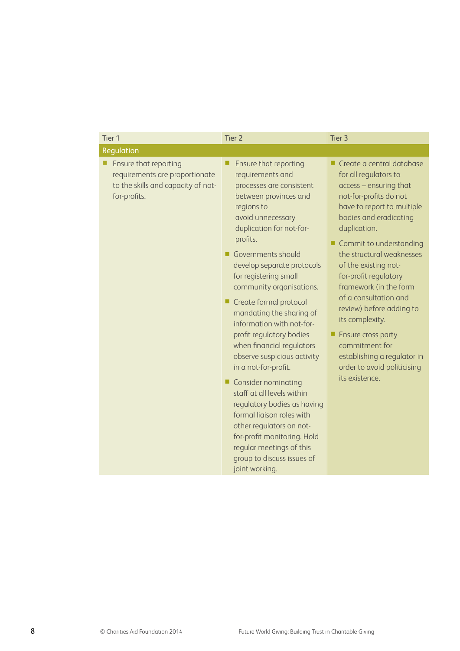| Tier <sub>1</sub>                                                                                             | Tier <sub>2</sub>                                                                                                                                                                                                                                                                                                                                                                                                                                                                                                                                                                                                                                                                                                                                         | Tier <sub>3</sub>                                                                                                                                                                                                                                                                                                                                                                                                                                                                                                        |
|---------------------------------------------------------------------------------------------------------------|-----------------------------------------------------------------------------------------------------------------------------------------------------------------------------------------------------------------------------------------------------------------------------------------------------------------------------------------------------------------------------------------------------------------------------------------------------------------------------------------------------------------------------------------------------------------------------------------------------------------------------------------------------------------------------------------------------------------------------------------------------------|--------------------------------------------------------------------------------------------------------------------------------------------------------------------------------------------------------------------------------------------------------------------------------------------------------------------------------------------------------------------------------------------------------------------------------------------------------------------------------------------------------------------------|
| Regulation                                                                                                    |                                                                                                                                                                                                                                                                                                                                                                                                                                                                                                                                                                                                                                                                                                                                                           |                                                                                                                                                                                                                                                                                                                                                                                                                                                                                                                          |
| Ensure that reporting<br>requirements are proportionate<br>to the skills and capacity of not-<br>for-profits. | Ensure that reporting<br>requirements and<br>processes are consistent<br>between provinces and<br>regions to<br>avoid unnecessary<br>duplication for not-for-<br>profits.<br>Governments should<br>develop separate protocols<br>for registering small<br>community organisations.<br>Create formal protocol<br>mandating the sharing of<br>information with not-for-<br>profit regulatory bodies<br>when financial regulators<br>observe suspicious activity<br>in a not-for-profit.<br><b>Consider nominating</b><br>ш<br>staff at all levels within<br>regulatory bodies as having<br>formal liaison roles with<br>other regulators on not-<br>for-profit monitoring. Hold<br>regular meetings of this<br>group to discuss issues of<br>joint working. | Create a central database<br>for all regulators to<br>access - ensuring that<br>not-for-profits do not<br>have to report to multiple<br>bodies and eradicating<br>duplication.<br>Commit to understanding<br>the structural weaknesses<br>of the existing not-<br>for-profit regulatory<br>framework (in the form<br>of a consultation and<br>review) before adding to<br>its complexity.<br><b>Ensure cross party</b><br>commitment for<br>establishing a regulator in<br>order to avoid politicising<br>its existence. |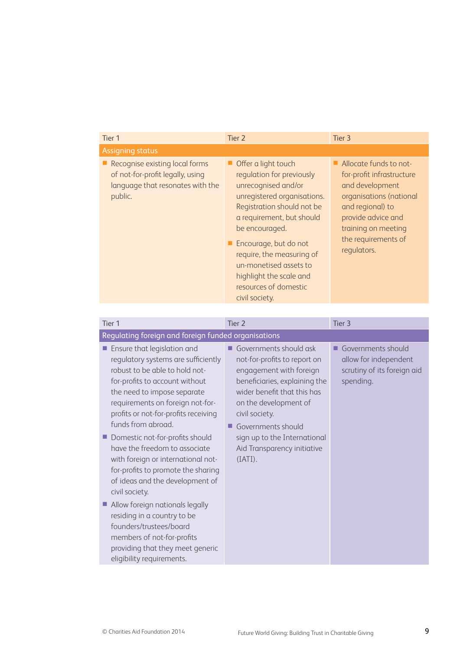| Tier 1                                                                                                            | Tier 2                                                                                                                                                                                                                                                                                                                                      | Tier 3                                                                                                                                                                                                   |
|-------------------------------------------------------------------------------------------------------------------|---------------------------------------------------------------------------------------------------------------------------------------------------------------------------------------------------------------------------------------------------------------------------------------------------------------------------------------------|----------------------------------------------------------------------------------------------------------------------------------------------------------------------------------------------------------|
| <b>Assigning status</b>                                                                                           |                                                                                                                                                                                                                                                                                                                                             |                                                                                                                                                                                                          |
| Recognise existing local forms<br>of not-for-profit legally, using<br>language that resonates with the<br>public. | Offer a light touch<br>regulation for previously<br>unrecognised and/or<br>unregistered organisations.<br>Registration should not be<br>a requirement, but should<br>be encouraged.<br>■ Encourage, but do not<br>require, the measuring of<br>un-monetised assets to<br>highlight the scale and<br>resources of domestic<br>civil society. | Allocate funds to not-<br>for-profit infrastructure<br>and development<br>organisations (national<br>and regional) to<br>provide advice and<br>training on meeting<br>the requirements of<br>regulators. |

| Tier 1                                                                                                                                                                                                                                                                                                                                                                                                                                                                                                                                                                                                                                                                        | Tier <sub>2</sub>                                                                                                                                                                                                                                                                                 | Tier <sub>3</sub>                                                                       |  |
|-------------------------------------------------------------------------------------------------------------------------------------------------------------------------------------------------------------------------------------------------------------------------------------------------------------------------------------------------------------------------------------------------------------------------------------------------------------------------------------------------------------------------------------------------------------------------------------------------------------------------------------------------------------------------------|---------------------------------------------------------------------------------------------------------------------------------------------------------------------------------------------------------------------------------------------------------------------------------------------------|-----------------------------------------------------------------------------------------|--|
| Regulating foreign and foreign funded organisations                                                                                                                                                                                                                                                                                                                                                                                                                                                                                                                                                                                                                           |                                                                                                                                                                                                                                                                                                   |                                                                                         |  |
| Ensure that legislation and<br>regulatory systems are sufficiently<br>robust to be able to hold not-<br>for-profits to account without<br>the need to impose separate<br>requirements on foreign not-for-<br>profits or not-for-profits receiving<br>funds from abroad.<br>Domestic not-for-profits should<br>have the freedom to associate<br>with foreign or international not-<br>for-profits to promote the sharing<br>of ideas and the development of<br>civil society.<br>Allow foreign nationals legally<br>ш<br>residing in a country to be<br>founders/trustees/board<br>members of not-for-profits<br>providing that they meet generic<br>eligibility requirements. | Governments should ask<br>not-for-profits to report on<br>engagement with foreign<br>beneficiaries, explaining the<br>wider benefit that this has<br>on the development of<br>civil society.<br>Governments should<br>ш<br>sign up to the International<br>Aid Transparency initiative<br>(IATI). | Governments should<br>allow for independent<br>scrutiny of its foreign aid<br>spending. |  |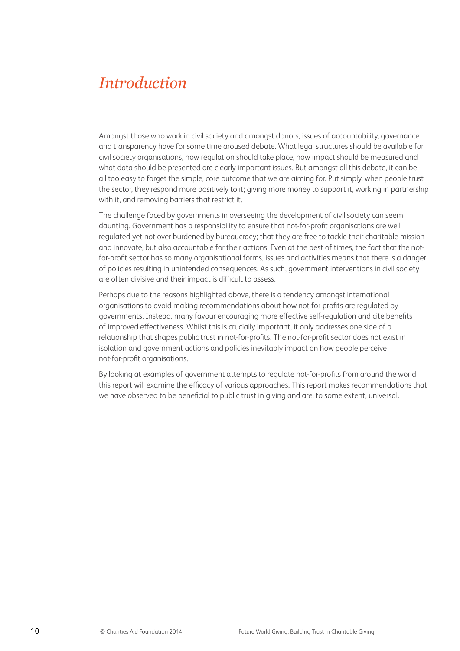### *Introduction*

Amongst those who work in civil society and amongst donors, issues of accountability, governance and transparency have for some time aroused debate. What legal structures should be available for civil society organisations, how regulation should take place, how impact should be measured and what data should be presented are clearly important issues. But amongst all this debate, it can be all too easy to forget the simple, core outcome that we are aiming for. Put simply, when people trust the sector, they respond more positively to it; giving more money to support it, working in partnership with it, and removing barriers that restrict it.

The challenge faced by governments in overseeing the development of civil society can seem daunting. Government has a responsibility to ensure that not-for-profit organisations are well regulated yet not over burdened by bureaucracy; that they are free to tackle their charitable mission and innovate, but also accountable for their actions. Even at the best of times, the fact that the notfor-profit sector has so many organisational forms, issues and activities means that there is a danger of policies resulting in unintended consequences. As such, government interventions in civil society are often divisive and their impact is difficult to assess.

Perhaps due to the reasons highlighted above, there is a tendency amongst international organisations to avoid making recommendations about how not-for-profits are regulated by governments. Instead, many favour encouraging more effective self-regulation and cite benefits of improved effectiveness. Whilst this is crucially important, it only addresses one side of a relationship that shapes public trust in not-for-profits. The not-for-profit sector does not exist in isolation and government actions and policies inevitably impact on how people perceive not-for-profit organisations.

By looking at examples of government attempts to regulate not-for-profits from around the world this report will examine the efficacy of various approaches. This report makes recommendations that we have observed to be beneficial to public trust in giving and are, to some extent, universal.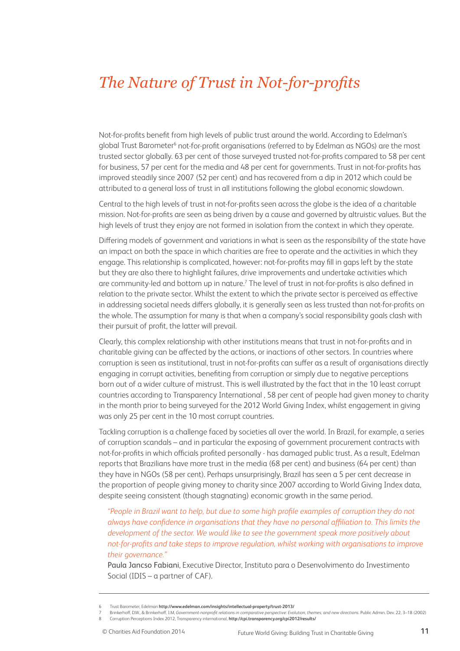## *The Nature of Trust in Not-for-profits*

Not-for-profits benefit from high levels of public trust around the world. According to Edelman's global Trust Barometer<sup>6</sup> not-for-profit organisations (referred to by Edelman as NGOs) are the most trusted sector globally. 63 per cent of those surveyed trusted not-for-profits compared to 58 per cent for business, 57 per cent for the media and 48 per cent for governments. Trust in not-for-profits has improved steadily since 2007 (52 per cent) and has recovered from a dip in 2012 which could be attributed to a general loss of trust in all institutions following the global economic slowdown.

Central to the high levels of trust in not-for-profits seen across the globe is the idea of a charitable mission. Not-for-profits are seen as being driven by a cause and governed by altruistic values. But the high levels of trust they enjoy are not formed in isolation from the context in which they operate.

Differing models of government and variations in what is seen as the responsibility of the state have an impact on both the space in which charities are free to operate and the activities in which they engage. This relationship is complicated, however: not-for-profits may fill in gaps left by the state but they are also there to highlight failures, drive improvements and undertake activities which are community-led and bottom up in nature.<sup>7</sup> The level of trust in not-for-profits is also defined in relation to the private sector. Whilst the extent to which the private sector is perceived as effective in addressing societal needs differs globally, it is generally seen as less trusted than not-for-profits on the whole. The assumption for many is that when a company's social responsibility goals clash with their pursuit of profit, the latter will prevail.

Clearly, this complex relationship with other institutions means that trust in not-for-profits and in charitable giving can be affected by the actions, or inactions of other sectors. In countries where corruption is seen as institutional, trust in not-for-profits can suffer as a result of organisations directly engaging in corrupt activities, benefiting from corruption or simply due to negative perceptions born out of a wider culture of mistrust. This is well illustrated by the fact that in the 10 least corrupt countries according to Transparency International , 58 per cent of people had given money to charity in the month prior to being surveyed for the 2012 World Giving Index, whilst engagement in giving was only 25 per cent in the 10 most corrupt countries.

Tackling corruption is a challenge faced by societies all over the world. In Brazil, for example, a series of corruption scandals – and in particular the exposing of government procurement contracts with not-for-profits in which officials profited personally - has damaged public trust. As a result, Edelman reports that Brazilians have more trust in the media (68 per cent) and business (64 per cent) than they have in NGOs (58 per cent). Perhaps unsurprisingly, Brazil has seen a 5 per cent decrease in the proportion of people giving money to charity since 2007 according to World Giving Index data, despite seeing consistent (though stagnating) economic growth in the same period.

*"People in Brazil want to help, but due to some high profile examples of corruption they do not always have confidence in organisations that they have no personal affiliation to. This limits the development of the sector. We would like to see the government speak more positively about not-for-profits and take steps to improve regulation, whilst working with organisations to improve their governance."* 

Paula Jancso Fabiani, Executive Director, Instituto para o Desenvolvimento do Investimento Social (IDIS – a partner of CAF).

<sup>6</sup> Trust Barometer, Edelman **http://www.edelman.com/insights/intellectual-property/trust-2013/**

<sup>7</sup> Brinkerhoff, D.W., & Brinkerhoff, J.M, *Government-nonprofit relations in comparative perspective: Evolution, themes, and new directions.* Public Admin. Dev. 22, 3–18 (2002) 8 Corruption Perceptions Index 2012, Transparency international, **http://cpi.transparency.org/cpi2012/results/**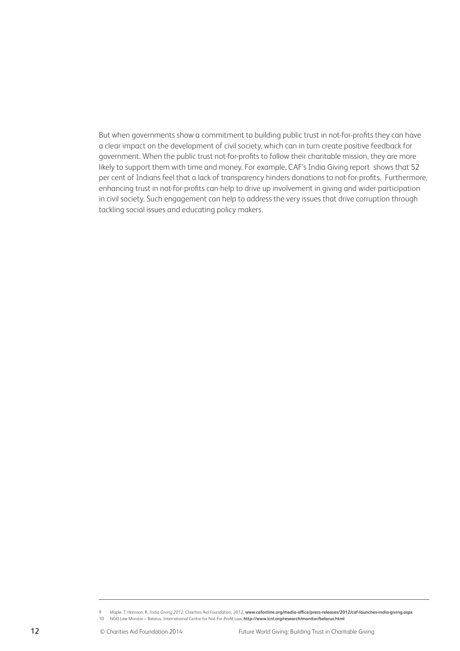But when governments show a commitment to building public trust in not-for-profits they can have a clear impact on the development of civil society, which can in turn create positive feedback for government. When the public trust not-for-profits to follow their charitable mission, they are more likely to support them with time and money. For example, CAF's India Giving report shows that 52 per cent of Indians feel that a lack of transparency hinders donations to not-for-profits. Furthermore, enhancing trust in not-for-profits can help to drive up involvement in giving and wider participation in civil society. Such engagement can help to address the very issues that drive corruption through tackling social issues and educating policy makers.

<sup>9</sup> Maple. T, Harrison. R, *India Giving 2012,* Charities Aid Foundation, 2012, **www.cafonline.org/media-office/press-releases/2012/caf-launches-india-giving.aspx**

<sup>10</sup> NGO Law Monitor – Belarus, International Centre for Not-For-Profit Law, **http://www.icnl.org/research/monitor/belarus.html**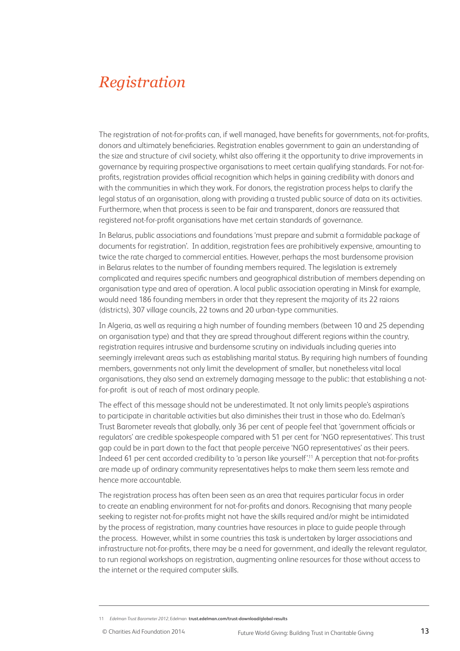### *Registration*

The registration of not-for-profits can, if well managed, have benefits for governments, not-for-profits, donors and ultimately beneficiaries. Registration enables government to gain an understanding of the size and structure of civil society, whilst also offering it the opportunity to drive improvements in governance by requiring prospective organisations to meet certain qualifying standards. For not-forprofits, registration provides official recognition which helps in gaining credibility with donors and with the communities in which they work. For donors, the registration process helps to clarify the legal status of an organisation, along with providing a trusted public source of data on its activities. Furthermore, when that process is seen to be fair and transparent, donors are reassured that registered not-for-profit organisations have met certain standards of governance.

In Belarus, public associations and foundations 'must prepare and submit a formidable package of documents for registration'. In addition, registration fees are prohibitively expensive, amounting to twice the rate charged to commercial entities. However, perhaps the most burdensome provision in Belarus relates to the number of founding members required. The legislation is extremely complicated and requires specific numbers and geographical distribution of members depending on organisation type and area of operation. A local public association operating in Minsk for example, would need 186 founding members in order that they represent the majority of its 22 raions (districts), 307 village councils, 22 towns and 20 urban-type communities.

In Algeria, as well as requiring a high number of founding members (between 10 and 25 depending on organisation type) and that they are spread throughout different regions within the country, registration requires intrusive and burdensome scrutiny on individuals including queries into seemingly irrelevant areas such as establishing marital status. By requiring high numbers of founding members, governments not only limit the development of smaller, but nonetheless vital local organisations, they also send an extremely damaging message to the public: that establishing a notfor-profit is out of reach of most ordinary people.

The effect of this message should not be underestimated. It not only limits people's aspirations to participate in charitable activities but also diminishes their trust in those who do. Edelman's Trust Barometer reveals that globally, only 36 per cent of people feel that 'government officials or regulators' are credible spokespeople compared with 51 per cent for 'NGO representatives'. This trust gap could be in part down to the fact that people perceive 'NGO representatives' as their peers. Indeed 61 per cent accorded credibility to 'a person like yourself'.11 A perception that not-for-profits are made up of ordinary community representatives helps to make them seem less remote and hence more accountable.

The registration process has often been seen as an area that requires particular focus in order to create an enabling environment for not-for-profits and donors. Recognising that many people seeking to register not-for-profits might not have the skills required and/or might be intimidated by the process of registration, many countries have resources in place to guide people through the process. However, whilst in some countries this task is undertaken by larger associations and infrastructure not-for-profits, there may be a need for government, and ideally the relevant regulator, to run regional workshops on registration, augmenting online resources for those without access to the internet or the required computer skills.

<sup>11</sup> *Edelman Trust Barometer 2012*, Edelman **trust.edelman.com/trust-download/global-results**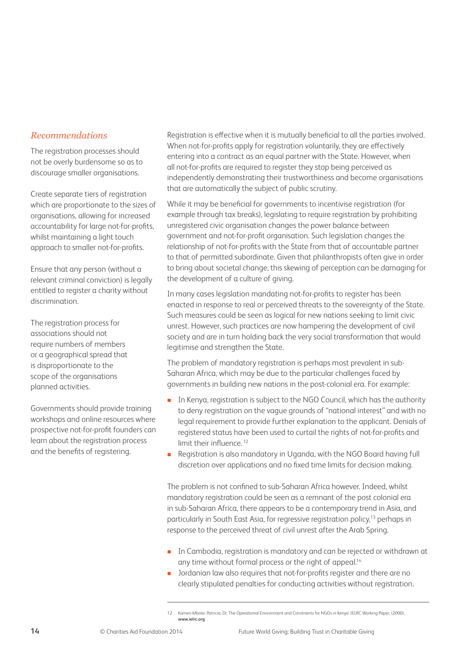#### *Recommendations*

The registration processes should not be overly burdensome so as to discourage smaller organisations.

Create separate tiers of registration which are proportionate to the sizes of organisations, allowing for increased accountability for large not-for-profits, whilst maintaining a light touch approach to smaller not-for-profits.

Ensure that any person (without a relevant criminal conviction) is legally entitled to register a charity without discrimination.

The registration process for associations should not require numbers of members or a geographical spread that is disproportionate to the scope of the organisations planned activities.

Governments should provide training workshops and online resources where prospective not-for-profit founders can learn about the registration process and the benefits of registering.

Registration is effective when it is mutually beneficial to all the parties involved. When not-for-profits apply for registration voluntarily, they are effectively entering into a contract as an equal partner with the State. However, when all not-for-profits are required to register they stop being perceived as independently demonstrating their trustworthiness and become organisations that are automatically the subject of public scrutiny.

While it may be beneficial for governments to incentivise registration (for example through tax breaks), legislating to require registration by prohibiting unregistered civic organisation changes the power balance between government and not-for-profit organisation. Such legislation changes the relationship of not-for-profits with the State from that of accountable partner to that of permitted subordinate. Given that philanthropists often give in order to bring about societal change, this skewing of perception can be damaging for the development of a culture of giving.

In many cases legislation mandating not-for-profits to register has been enacted in response to real or perceived threats to the sovereignty of the State. Such measures could be seen as logical for new nations seeking to limit civic unrest. However, such practices are now hampering the development of civil society and are in turn holding back the very social transformation that would legitimise and strengthen the State.

The problem of mandatory registration is perhaps most prevalent in sub-Saharan Africa, which may be due to the particular challenges faced by governments in building new nations in the post-colonial era. For example:

- In Kenya, registration is subject to the NGO Council, which has the authority to deny registration on the vague grounds of "national interest" and with no legal requirement to provide further explanation to the applicant. Denials of registered status have been used to curtail the rights of not-for-profits and limit their influence.<sup>12</sup>
- Registration is also mandatory in Uganda, with the NGO Board having full discretion over applications and no fixed time limits for decision making.

The problem is not confined to sub-Saharan Africa however. Indeed, whilst mandatory registration could be seen as a remnant of the post colonial era in sub-Saharan Africa, there appears to be a contemporary trend in Asia, and particularly in South East Asia, for regressive registration policy,<sup>13</sup> perhaps in response to the perceived threat of civil unrest after the Arab Spring.

- In Cambodia, registration is mandatory and can be rejected or withdrawn at any time without formal process or the right of appeal.<sup>14</sup>
- Jordanian law also requires that not-for-profits register and there are no clearly stipulated penalties for conducting activities without registration.

<sup>12</sup> Kameri-Mbote, Patricia, Dr. The Operational Environment and Constraints for NGOs in Kenya' IELRC Working Paper, (2000), **www.ielrc.org**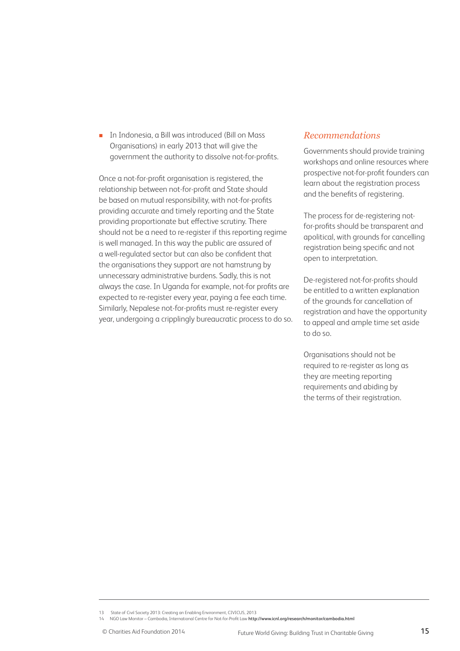**In Indonesia, a Bill was introduced (Bill on Mass** Organisations) in early 2013 that will give the government the authority to dissolve not-for-profits.

Once a not-for-profit organisation is registered, the relationship between not-for-profit and State should be based on mutual responsibility, with not-for-profits providing accurate and timely reporting and the State providing proportionate but effective scrutiny. There should not be a need to re-register if this reporting regime is well managed. In this way the public are assured of a well-regulated sector but can also be confident that the organisations they support are not hamstrung by unnecessary administrative burdens. Sadly, this is not always the case. In Uganda for example, not-for profits are expected to re-register every year, paying a fee each time. Similarly, Nepalese not-for-profits must re-register every year, undergoing a cripplingly bureaucratic process to do so.

#### *Recommendations*

Governments should provide training workshops and online resources where prospective not-for-profit founders can learn about the registration process and the benefits of registering.

The process for de-registering notfor-profits should be transparent and apolitical, with grounds for cancelling registration being specific and not open to interpretation.

De-registered not-for-profits should be entitled to a written explanation of the grounds for cancellation of registration and have the opportunity to appeal and ample time set aside to do so.

Organisations should not be required to re-register as long as they are meeting reporting requirements and abiding by the terms of their registration.

14 NGO Law Monitor – Cambodia, International Centre for Not-for-Profit Law **http://www.icnl.org/research/monitor/cambodia.html**

<sup>13</sup> State of Civil Society 2013: Creating an Enabling Environment, CIVICUS, 2013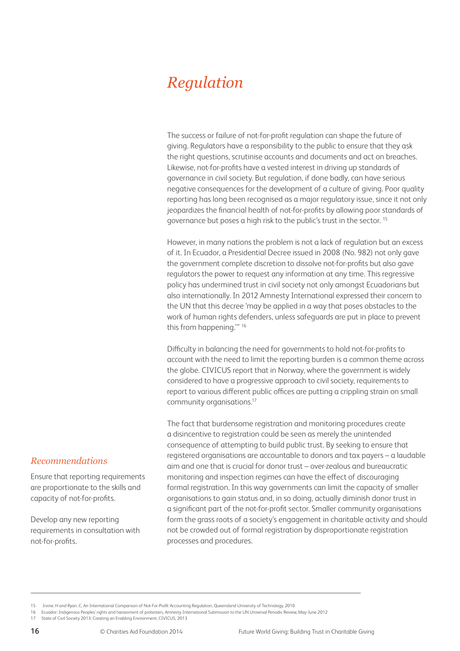## *Regulation*

The success or failure of not-for-profit regulation can shape the future of giving. Regulators have a responsibility to the public to ensure that they ask the right questions, scrutinise accounts and documents and act on breaches. Likewise, not-for-profits have a vested interest in driving up standards of governance in civil society. But regulation, if done badly, can have serious negative consequences for the development of a culture of giving. Poor quality reporting has long been recognised as a major regulatory issue, since it not only jeopardizes the financial health of not-for-profits by allowing poor standards of governance but poses a high risk to the public's trust in the sector. 15

However, in many nations the problem is not a lack of regulation but an excess of it. In Ecuador, a Presidential Decree issued in 2008 (No. 982) not only gave the government complete discretion to dissolve not-for-profits but also gave regulators the power to request any information at any time. This regressive policy has undermined trust in civil society not only amongst Ecuadorians but also internationally. In 2012 Amnesty International expressed their concern to the UN that this decree 'may be applied in a way that poses obstacles to the work of human rights defenders, unless safeguards are put in place to prevent this from happening.'" 16

Difficulty in balancing the need for governments to hold not-for-profits to account with the need to limit the reporting burden is a common theme across the globe. CIVICUS report that in Norway, where the government is widely considered to have a progressive approach to civil society, requirements to report to various different public offices are putting a crippling strain on small community organisations.17

The fact that burdensome registration and monitoring procedures create a disincentive to registration could be seen as merely the unintended consequence of attempting to build public trust. By seeking to ensure that registered organisations are accountable to donors and tax payers – a laudable aim and one that is crucial for donor trust – over-zealous and bureaucratic monitoring and inspection regimes can have the effect of discouraging formal registration. In this way governments can limit the capacity of smaller organisations to gain status and, in so doing, actually diminish donor trust in a significant part of the not-for-profit sector. Smaller community organisations form the grass roots of a society's engagement in charitable activity and should not be crowded out of formal registration by disproportionate registration processes and procedures.

#### *Recommendations*

Ensure that reporting requirements are proportionate to the skills and capacity of not-for-profits.

Develop any new reporting requirements in consultation with not-for-profits.

<sup>15</sup> Irvine. H and Ryan. C, An International Comparison of Not-For-Profit Accounting Regulation, Queensland University of Technology, 2010

<sup>16</sup> Ecuador: Indigenous Peoples' rights and harassment of protesters, Amnesty International Submission to the UN Universal Periodic Review, May-June 2012

<sup>17</sup> State of Civil Society 2013: Creating an Enabling Environment, CIVICUS, 2013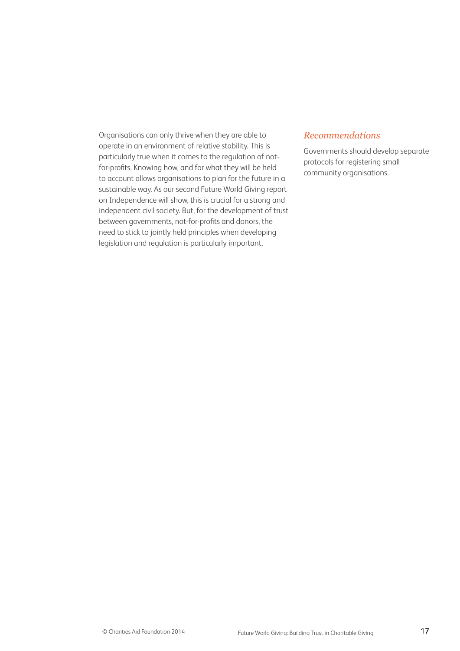Organisations can only thrive when they are able to operate in an environment of relative stability. This is particularly true when it comes to the regulation of notfor-profits. Knowing how, and for what they will be held to account allows organisations to plan for the future in a sustainable way. As our second Future World Giving report on Independence will show, this is crucial for a strong and independent civil society. But, for the development of trust between governments, not-for-profits and donors, the need to stick to jointly held principles when developing legislation and regulation is particularly important.

#### *Recommendations*

Governments should develop separate protocols for registering small community organisations.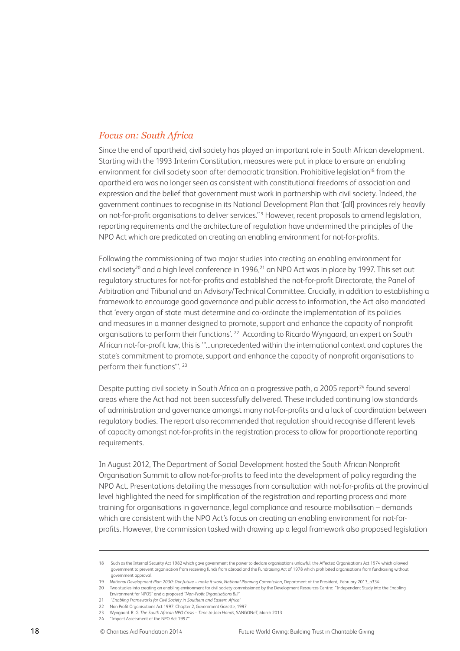#### *Focus on: South Africa*

Since the end of apartheid, civil society has played an important role in South African development. Starting with the 1993 Interim Constitution, measures were put in place to ensure an enabling environment for civil society soon after democratic transition. Prohibitive legislation<sup>18</sup> from the apartheid era was no longer seen as consistent with constitutional freedoms of association and expression and the belief that government must work in partnership with civil society. Indeed, the government continues to recognise in its National Development Plan that '[all] provinces rely heavily on not-for-profit organisations to deliver services.'19 However, recent proposals to amend legislation, reporting requirements and the architecture of regulation have undermined the principles of the NPO Act which are predicated on creating an enabling environment for not-for-profits.

Following the commissioning of two major studies into creating an enabling environment for civil society<sup>20</sup> and a high level conference in 1996,<sup>21</sup> an NPO Act was in place by 1997. This set out regulatory structures for not-for-profits and established the not-for-profit Directorate, the Panel of Arbitration and Tribunal and an Advisory/Technical Committee. Crucially, in addition to establishing a framework to encourage good governance and public access to information, the Act also mandated that 'every organ of state must determine and co-ordinate the implementation of its policies and measures in a manner designed to promote, support and enhance the capacity of nonprofit organisations to perform their functions'. 22 According to Ricardo Wyngaard, an expert on South African not-for-profit law, this is '"...unprecedented within the international context and captures the state's commitment to promote, support and enhance the capacity of nonprofit organisations to perform their functions"'. 23

Despite putting civil society in South Africa on a progressive path, a 2005 report<sup>24</sup> found several areas where the Act had not been successfully delivered. These included continuing low standards of administration and governance amongst many not-for-profits and a lack of coordination between regulatory bodies. The report also recommended that regulation should recognise different levels of capacity amongst not-for-profits in the registration process to allow for proportionate reporting requirements.

In August 2012, The Department of Social Development hosted the South African Nonprofit Organisation Summit to allow not-for-profits to feed into the development of policy regarding the NPO Act. Presentations detailing the messages from consultation with not-for-profits at the provincial level highlighted the need for simplification of the registration and reporting process and more training for organisations in governance, legal compliance and resource mobilisation – demands which are consistent with the NPO Act's focus on creating an enabling environment for not-forprofits. However, the commission tasked with drawing up a legal framework also proposed legislation

<sup>18</sup> Such as the Internal Security Act 1982 which gave government the power to declare organisations unlawful, the Affected Organisations Act 1974 which allowed government to prevent organisation from receiving funds from abroad and the Fundraising Act of 1978 which prohibited organisations from fundraising without government approval.

<sup>19</sup> *National Development Plan 2030: Our future – make it work, National Planning Commission*, Department of the President, February 2013, p334

<sup>20</sup> Two studies into creating an enabling environment for civil society commissioned by the Development Resources Centre: "Independent Study into the Enabling Environment for NPOS" and a proposed *"Non-Profit Organisations Bill"*

<sup>21</sup> *"Enabling Frameworks for Civil Society in Southern and Eastern Africa"*

<sup>22</sup> Non Profit Organisations Act 1997, Chapter 2, Government Gazette, 1997

<sup>23</sup> Wyngaard. R. G. *The South African NPO Crisis – Time to Join Hands*, SANGONeT, March 2013

<sup>24 &</sup>quot;Impact Assessment of the NPO Act 1997"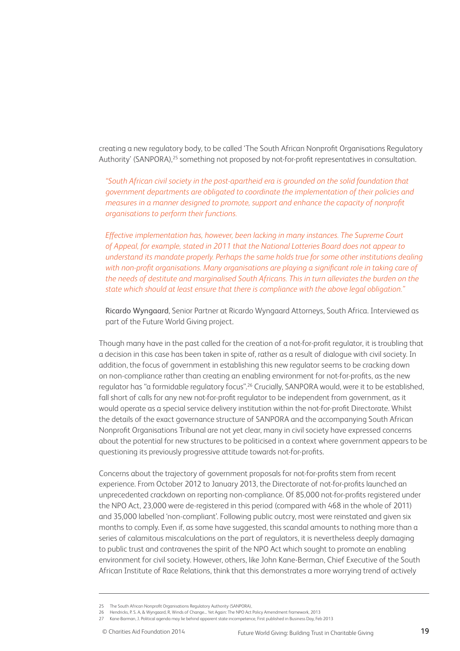creating a new regulatory body, to be called 'The South African Nonprofit Organisations Regulatory Authority' (SANPORA),<sup>25</sup> something not proposed by not-for-profit representatives in consultation.

*"South African civil society in the post-apartheid era is grounded on the solid foundation that government departments are obligated to coordinate the implementation of their policies and measures in a manner designed to promote, support and enhance the capacity of nonprofit organisations to perform their functions.*

*Effective implementation has, however, been lacking in many instances. The Supreme Court of Appeal, for example, stated in 2011 that the National Lotteries Board does not appear to understand its mandate properly. Perhaps the same holds true for some other institutions dealing*  with non-profit organisations. Many organisations are playing a significant role in taking care of *the needs of destitute and marginalised South Africans. This in turn alleviates the burden on the state which should at least ensure that there is compliance with the above legal obligation."*

Ricardo Wyngaard, Senior Partner at Ricardo Wyngaard Attorneys, South Africa. Interviewed as part of the Future World Giving project.

Though many have in the past called for the creation of a not-for-profit regulator, it is troubling that a decision in this case has been taken in spite of, rather as a result of dialogue with civil society. In addition, the focus of government in establishing this new regulator seems to be cracking down on non-compliance rather than creating an enabling environment for not-for-profits, as the new regulator has "a formidable regulatory focus".26 Crucially, SANPORA would, were it to be established, fall short of calls for any new not-for-profit regulator to be independent from government, as it would operate as a special service delivery institution within the not-for-profit Directorate. Whilst the details of the exact governance structure of SANPORA and the accompanying South African Nonprofit Organisations Tribunal are not yet clear, many in civil society have expressed concerns about the potential for new structures to be politicised in a context where government appears to be questioning its previously progressive attitude towards not-for-profits.

Concerns about the trajectory of government proposals for not-for-profits stem from recent experience. From October 2012 to January 2013, the Directorate of not-for-profits launched an unprecedented crackdown on reporting non-compliance. Of 85,000 not-for-profits registered under the NPO Act, 23,000 were de-registered in this period (compared with 468 in the whole of 2011) and 35,000 labelled 'non-compliant'. Following public outcry, most were reinstated and given six months to comply. Even if, as some have suggested, this scandal amounts to nothing more than a series of calamitous miscalculations on the part of regulators, it is nevertheless deeply damaging to public trust and contravenes the spirit of the NPO Act which sought to promote an enabling environment for civil society. However, others, like John Kane-Berman, Chief Executive of the South African Institute of Race Relations, think that this demonstrates a more worrying trend of actively

<sup>25</sup> The South African Nonprofit Organisations Regulatory Authority (SANPORA), 26 Hendricks, P. S. A, & Wyngaard, R, Winds of Change... Yet Again: The NPO Act Policy Amendment framework, 2013

<sup>27</sup> Kane-Barman, J. Political agenda may lie behind apparent state incompetence, First published in Business Day, Feb 2013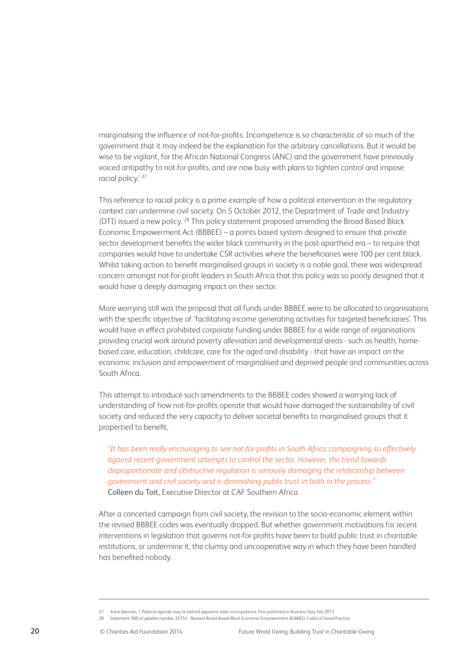marginalising the influence of not-for-profits. Incompetence is so characteristic of so much of the government that it may indeed be the explanation for the arbitrary cancellations. But it would be wise to be vigilant, for the African National Congress (ANC) and the government have previously voiced antipathy to not-for-profits, and are now busy with plans to tighten control and impose racial policy.' 27

This reference to racial policy is a prime example of how a political intervention in the regulatory context can undermine civil society. On 5 October 2012, the Department of Trade and Industry (DTI) issued a new policy. 28 This policy statement proposed amending the Broad Based Black Economic Empowerment Act (BBBEE) – a points based system designed to ensure that private sector development benefits the wider black community in the post-apartheid era – to require that companies would have to undertake CSR activities where the beneficiaries were 100 per cent black. Whilst taking action to benefit marginalised groups in society is a noble goal, there was widespread concern amongst not-for-profit leaders in South Africa that this policy was so poorly designed that it would have a deeply damaging impact on their sector.

More worrying still was the proposal that all funds under BBBEE were to be allocated to organisations with the specific objective of 'facilitating income generating activities for targeted beneficiaries'. This would have in effect prohibited corporate funding under BBBEE for a wide range of organisations providing crucial work around poverty alleviation and developmental areas - such as health, homebased care, education, childcare, care for the aged and disability - that have an impact on the economic inclusion and empowerment of marginalised and deprived people and communities across South Africa.

This attempt to introduce such amendments to the BBBEE codes showed a worrying lack of understanding of how not-for-profits operate that would have damaged the sustainability of civil society and reduced the very capacity to deliver societal benefits to marginalised groups that it propertied to benefit.

*"It has been really encouraging to see not-for-profits in South Africa campaigning so effectively against recent government attempts to control the sector. However, the trend towards disproportionate and obstructive regulation is seriously damaging the relationship between government and civil society and is diminishing public trust in both in the process."* Colleen du Toit, Executive Director at CAF Southern Africa

After a concerted campaign from civil society, the revision to the socio-economic element within the revised BBBEE codes was eventually dropped. But whether government motivations for recent interventions in legislation that governs not-for-profits have been to build public trust in charitable institutions, or undermine it, the clumsy and uncooperative way in which they have been handled has benefited nobody.

<sup>27</sup> Kane-Barman, J. Political agenda may lie behind apparent state incompetence, First published in Business Day, Feb 2013

<sup>28</sup> Statement 500 of gazette number 35754 - Revised Broad-Based Black Economic Empowerment (B-BBEE) Codes of Good Practice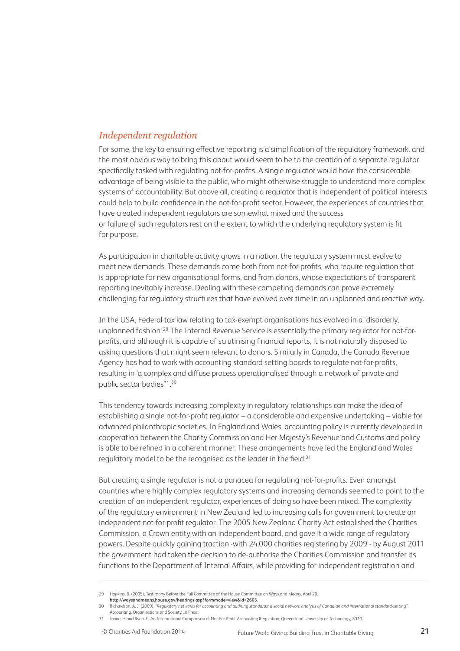#### *Independent regulation*

For some, the key to ensuring effective reporting is a simplification of the regulatory framework, and the most obvious way to bring this about would seem to be to the creation of a separate regulator specifically tasked with regulating not-for-profits. A single regulator would have the considerable advantage of being visible to the public, who might otherwise struggle to understand more complex systems of accountability. But above all, creating a regulator that is independent of political interests could help to build confidence in the not-for-profit sector. However, the experiences of countries that have created independent regulators are somewhat mixed and the success or failure of such regulators rest on the extent to which the underlying regulatory system is fit for purpose.

As participation in charitable activity grows in a nation, the regulatory system must evolve to meet new demands. These demands come both from not-for-profits, who require regulation that is appropriate for new organisational forms, and from donors, whose expectations of transparent reporting inevitably increase. Dealing with these competing demands can prove extremely challenging for regulatory structures that have evolved over time in an unplanned and reactive way.

In the USA, Federal tax law relating to tax-exempt organisations has evolved in a 'disorderly, unplanned fashion'.<sup>29</sup> The Internal Revenue Service is essentially the primary regulator for not-forprofits, and although it is capable of scrutinising financial reports, it is not naturally disposed to asking questions that might seem relevant to donors. Similarly in Canada, the Canada Revenue Agency has had to work with accounting standard setting boards to regulate not-for-profits, resulting in 'a complex and diffuse process operationalised through a network of private and public sector bodies"' .30

This tendency towards increasing complexity in regulatory relationships can make the idea of establishing a single not-for-profit regulator – a considerable and expensive undertaking – viable for advanced philanthropic societies. In England and Wales, accounting policy is currently developed in cooperation between the Charity Commission and Her Majesty's Revenue and Customs and policy is able to be refined in a coherent manner. These arrangements have led the England and Wales regulatory model to be the recognised as the leader in the field.<sup>31</sup>

But creating a single regulator is not a panacea for regulating not-for-profits. Even amongst countries where highly complex regulatory systems and increasing demands seemed to point to the creation of an independent regulator, experiences of doing so have been mixed. The complexity of the regulatory environment in New Zealand led to increasing calls for government to create an independent not-for-profit regulator. The 2005 New Zealand Charity Act established the Charities Commission, a Crown entity with an independent board, and gave it a wide range of regulatory powers. Despite quickly gaining traction -with 24,000 charities registering by 2009 - by August 2011 the government had taken the decision to de-authorise the Charities Commission and transfer its functions to the Department of Internal Affairs, while providing for independent registration and

<sup>29</sup> Hopkins, B. (2005), Testimony Before the Full Committee of the House Committee on Ways and Means, April 20.

**http://waysandmeans.house.gov/hearings.asp?formmode=view&id=2603.**

<sup>30</sup> Richardson, A. J. (2009), *"Regulatory networks for accounting and auditing standards: a social network analysis of Canadian and international standard-setting"*, Accounting, Organizations and Society, In Press.

<sup>31</sup> Irvine. H and Ryan. C, An International Comparison of Not-For-Profit Accounting Regulation, Queensland University of Technology, 2010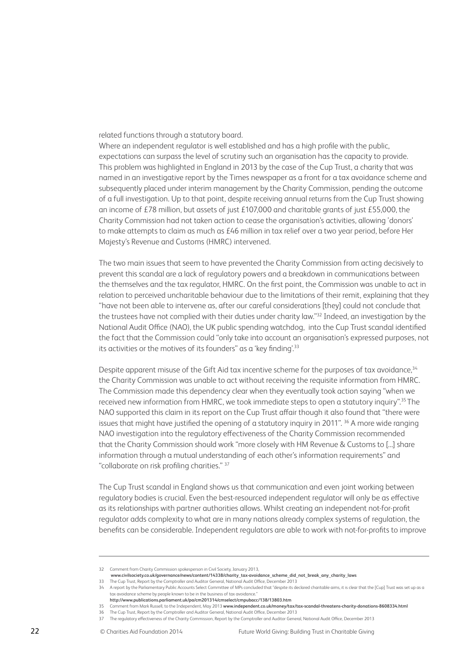#### related functions through a statutory board.

Where an independent regulator is well established and has a high profile with the public, expectations can surpass the level of scrutiny such an organisation has the capacity to provide. This problem was highlighted in England in 2013 by the case of the Cup Trust, a charity that was named in an investigative report by the Times newspaper as a front for a tax avoidance scheme and subsequently placed under interim management by the Charity Commission, pending the outcome of a full investigation. Up to that point, despite receiving annual returns from the Cup Trust showing an income of £78 million, but assets of just £107,000 and charitable grants of just £55,000, the Charity Commission had not taken action to cease the organisation's activities, allowing 'donors' to make attempts to claim as much as £46 million in tax relief over a two year period, before Her Majesty's Revenue and Customs (HMRC) intervened.

The two main issues that seem to have prevented the Charity Commission from acting decisively to prevent this scandal are a lack of regulatory powers and a breakdown in communications between the themselves and the tax regulator, HMRC. On the first point, the Commission was unable to act in relation to perceived uncharitable behaviour due to the limitations of their remit, explaining that they "have not been able to intervene as, after our careful considerations [they] could not conclude that the trustees have not complied with their duties under charity law."32 Indeed, an investigation by the National Audit Office (NAO), the UK public spending watchdog, into the Cup Trust scandal identified the fact that the Commission could "only take into account an organisation's expressed purposes, not its activities or the motives of its founders" as a 'key finding'.<sup>33</sup>

Despite apparent misuse of the Gift Aid tax incentive scheme for the purposes of tax avoidance,<sup>34</sup> the Charity Commission was unable to act without receiving the requisite information from HMRC. The Commission made this dependency clear when they eventually took action saying "when we received new information from HMRC, we took immediate steps to open a statutory inquiry".35 The NAO supported this claim in its report on the Cup Trust affair though it also found that "there were issues that might have justified the opening of a statutory inquiry in 2011". <sup>36</sup> A more wide ranging NAO investigation into the regulatory effectiveness of the Charity Commission recommended that the Charity Commission should work "more closely with HM Revenue & Customs to [...] share information through a mutual understanding of each other's information requirements" and "collaborate on risk profiling charities." 37

The Cup Trust scandal in England shows us that communication and even joint working between regulatory bodies is crucial. Even the best-resourced independent regulator will only be as effective as its relationships with partner authorities allows. Whilst creating an independent not-for-profit regulator adds complexity to what are in many nations already complex systems of regulation, the benefits can be considerable. Independent regulators are able to work with not-for-profits to improve

**www.civilsociety.co.uk/governance/news/content/14338/charity\_tax-avoidance\_scheme\_did\_not\_break\_any\_charity\_laws**  33 The Cup Trust, Report by the Comptroller and Auditor General, National Audit Office, December 2013

<sup>32</sup> Comment from Charity Commission spokesperson in Civil Society, January 2013,

<sup>34</sup> A report by the Parliamentary Public Accounts Select Committee of MPs concluded that "despite its declared charitable aims, it is clear that the [Cup] Trust was set up as a tax avoidance scheme by people known to be in the business of tax avoidance."

**http://www.publications.parliament.uk/pa/cm201314/cmselect/cmpubacc/138/13803.htm** 

<sup>35</sup> Comment from Mark Russell, to the Independent, May 2013 **www.independent.co.uk/money/tax/tax-scandal-threatens-charity-donations-8608334.html** 

<sup>36</sup> The Cup Trust, Report by the Comptroller and Auditor General, National Audit Office, December 2013

<sup>37</sup> The regulatory effectiveness of the Charity Commission, Report by the Comptroller and Auditor General, National Audit Office, December 2013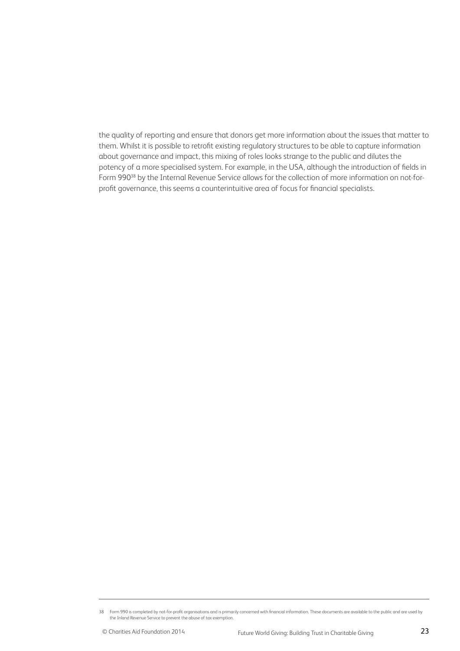the quality of reporting and ensure that donors get more information about the issues that matter to them. Whilst it is possible to retrofit existing regulatory structures to be able to capture information about governance and impact, this mixing of roles looks strange to the public and dilutes the potency of a more specialised system. For example, in the USA, although the introduction of fields in Form 990<sup>38</sup> by the Internal Revenue Service allows for the collection of more information on not-forprofit governance, this seems a counterintuitive area of focus for financial specialists.

<sup>38</sup> Form 990 is completed by not-for-profit organisations and is primarily concerned with financial information. These documents are available to the public and are used by the Inland Revenue Service to prevent the abuse of tax exemption.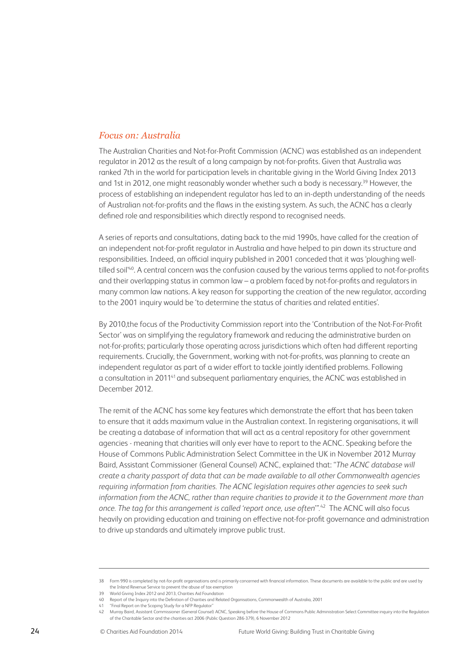#### *Focus on: Australia*

The Australian Charities and Not-for-Profit Commission (ACNC) was established as an independent regulator in 2012 as the result of a long campaign by not-for-profits. Given that Australia was ranked 7th in the world for participation levels in charitable giving in the World Giving Index 2013 and 1st in 2012, one might reasonably wonder whether such a body is necessary.<sup>39</sup> However, the process of establishing an independent regulator has led to an in-depth understanding of the needs of Australian not-for-profits and the flaws in the existing system. As such, the ACNC has a clearly defined role and responsibilities which directly respond to recognised needs.

A series of reports and consultations, dating back to the mid 1990s, have called for the creation of an independent not-for-profit regulator in Australia and have helped to pin down its structure and responsibilities. Indeed, an official inquiry published in 2001 conceded that it was 'ploughing welltilled soil<sup>'40</sup>. A central concern was the confusion caused by the various terms applied to not-for-profits and their overlapping status in common law – a problem faced by not-for-profits and regulators in many common law nations. A key reason for supporting the creation of the new regulator, according to the 2001 inquiry would be 'to determine the status of charities and related entities'.

By 2010,the focus of the Productivity Commission report into the 'Contribution of the Not-For-Profit Sector' was on simplifying the regulatory framework and reducing the administrative burden on not-for-profits; particularly those operating across jurisdictions which often had different reporting requirements. Crucially, the Government, working with not-for-profits, was planning to create an independent regulator as part of a wider effort to tackle jointly identified problems. Following a consultation in 201141 and subsequent parliamentary enquiries, the ACNC was established in December 2012.

The remit of the ACNC has some key features which demonstrate the effort that has been taken to ensure that it adds maximum value in the Australian context. In registering organisations, it will be creating a database of information that will act as a central repository for other government agencies - meaning that charities will only ever have to report to the ACNC. Speaking before the House of Commons Public Administration Select Committee in the UK in November 2012 Murray Baird, Assistant Commissioner (General Counsel) ACNC, explained that: "*The ACNC database will create a charity passport of data that can be made available to all other Commonwealth agencies requiring information from charities. The ACNC legislation requires other agencies to seek such information from the ACNC, rather than require charities to provide it to the Government more than once. The tag for this arrangement is called 'report once, use often'".*42 The ACNC will also focus heavily on providing education and training on effective not-for-profit governance and administration to drive up standards and ultimately improve public trust.

<sup>38</sup> Form 990 is completed by not-for-profit organisations and is primarily concerned with financial information. These documents are available to the public and are used by the Inland Revenue Service to prevent the abuse of tax exemption

<sup>39</sup> World Giving Index 2012 and 2013, Charities Aid Foundation

<sup>40</sup> Report of the Inquiry into the Definition of Charities and Related Organisations, Commonwealth of Australia, 2001

<sup>41</sup> "Final Report on the Scoping Study for a NFP Regulator"

<sup>42</sup> Murray Baird, Assistant Commissioner (General Counsel) ACNC, Speaking before the House of Commons Public Administration Select Committee inquiry into the Regulation of the Charitable Sector and the charities act 2006 (Public Question 286-379), 6 November 2012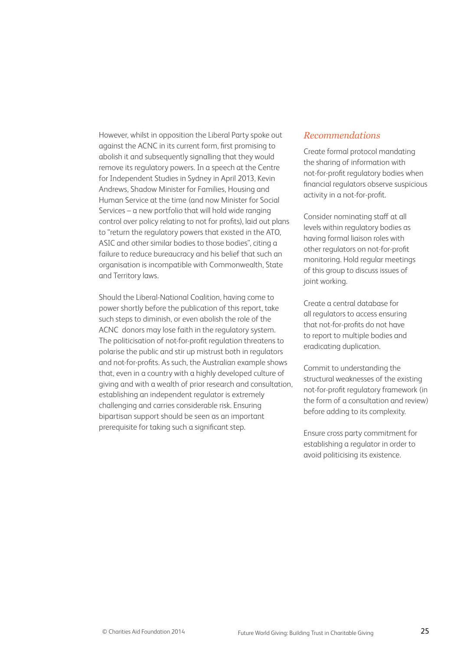However, whilst in opposition the Liberal Party spoke out against the ACNC in its current form, first promising to abolish it and subsequently signalling that they would remove its regulatory powers. In a speech at the Centre for Independent Studies in Sydney in April 2013, Kevin Andrews, Shadow Minister for Families, Housing and Human Service at the time (and now Minister for Social Services – a new portfolio that will hold wide ranging control over policy relating to not for profits), laid out plans to "return the regulatory powers that existed in the ATO, ASIC and other similar bodies to those bodies", citing a failure to reduce bureaucracy and his belief that such an organisation is incompatible with Commonwealth, State and Territory laws.

Should the Liberal-National Coalition, having come to power shortly before the publication of this report, take such steps to diminish, or even abolish the role of the ACNC donors may lose faith in the regulatory system. The politicisation of not-for-profit regulation threatens to polarise the public and stir up mistrust both in regulators and not-for-profits. As such, the Australian example shows that, even in a country with a highly developed culture of giving and with a wealth of prior research and consultation, establishing an independent regulator is extremely challenging and carries considerable risk. Ensuring bipartisan support should be seen as an important prerequisite for taking such a significant step.

#### *Recommendations*

Create formal protocol mandating the sharing of information with not-for-profit regulatory bodies when financial regulators observe suspicious activity in a not-for-profit.

Consider nominating staff at all levels within regulatory bodies as having formal liaison roles with other regulators on not-for-profit monitoring. Hold regular meetings of this group to discuss issues of joint working.

Create a central database for all regulators to access ensuring that not-for-profits do not have to report to multiple bodies and eradicating duplication.

Commit to understanding the structural weaknesses of the existing not-for-profit regulatory framework (in the form of a consultation and review) before adding to its complexity.

Ensure cross party commitment for establishing a regulator in order to avoid politicising its existence.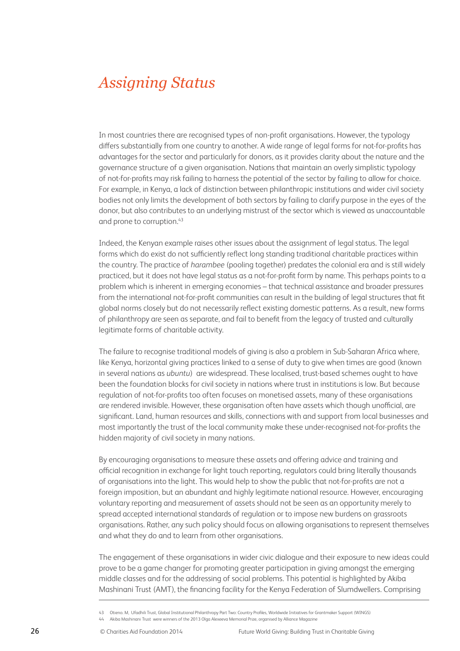### *Assigning Status*

In most countries there are recognised types of non-profit organisations. However, the typology differs substantially from one country to another. A wide range of legal forms for not-for-profits has advantages for the sector and particularly for donors, as it provides clarity about the nature and the governance structure of a given organisation. Nations that maintain an overly simplistic typology of not-for-profits may risk failing to harness the potential of the sector by failing to allow for choice. For example, in Kenya, a lack of distinction between philanthropic institutions and wider civil society bodies not only limits the development of both sectors by failing to clarify purpose in the eyes of the donor, but also contributes to an underlying mistrust of the sector which is viewed as unaccountable and prone to corruption.<sup>43</sup>

Indeed, the Kenyan example raises other issues about the assignment of legal status. The legal forms which do exist do not sufficiently reflect long standing traditional charitable practices within the country. The practice of *harambee* (pooling together) predates the colonial era and is still widely practiced, but it does not have legal status as a not-for-profit form by name. This perhaps points to a problem which is inherent in emerging economies – that technical assistance and broader pressures from the international not-for-profit communities can result in the building of legal structures that fit global norms closely but do not necessarily reflect existing domestic patterns. As a result, new forms of philanthropy are seen as separate, and fail to benefit from the legacy of trusted and culturally legitimate forms of charitable activity.

The failure to recognise traditional models of giving is also a problem in Sub-Saharan Africa where, like Kenya, horizontal giving practices linked to a sense of duty to give when times are good (known in several nations as *ubuntu*) are widespread. These localised, trust-based schemes ought to have been the foundation blocks for civil society in nations where trust in institutions is low. But because regulation of not-for-profits too often focuses on monetised assets, many of these organisations are rendered invisible. However, these organisation often have assets which though unofficial, are significant. Land, human resources and skills, connections with and support from local businesses and most importantly the trust of the local community make these under-recognised not-for-profits the hidden majority of civil society in many nations.

By encouraging organisations to measure these assets and offering advice and training and official recognition in exchange for light touch reporting, regulators could bring literally thousands of organisations into the light. This would help to show the public that not-for-profits are not a foreign imposition, but an abundant and highly legitimate national resource. However, encouraging voluntary reporting and measurement of assets should not be seen as an opportunity merely to spread accepted international standards of regulation or to impose new burdens on grassroots organisations. Rather, any such policy should focus on allowing organisations to represent themselves and what they do and to learn from other organisations.

The engagement of these organisations in wider civic dialogue and their exposure to new ideas could prove to be a game changer for promoting greater participation in giving amongst the emerging middle classes and for the addressing of social problems. This potential is highlighted by Akiba Mashinani Trust (AMT), the financing facility for the Kenya Federation of Slumdwellers. Comprising

44 Akiba Mashinani Trust were winners of the 2013 Olga Alexeeva Memorial Prize, organised by Alliance Magazine

<sup>43</sup> Otieno. M, Ufadhili Trust, Global Institutional Philanthropy Part Two: Country Profiles, Worldwide Initiatives for Grantmaker Support (WINGS)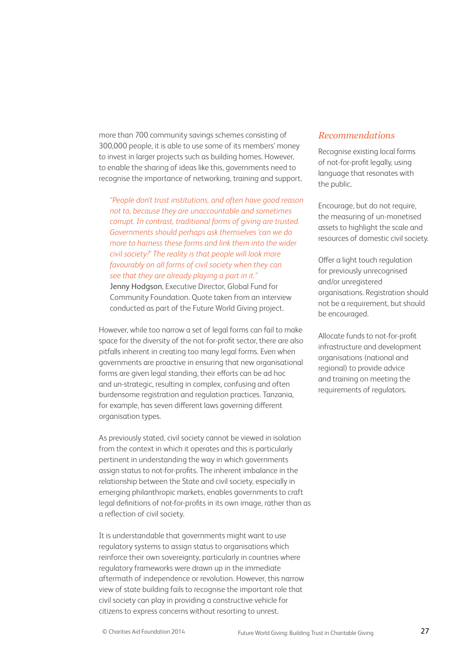more than 700 community savings schemes consisting of 300,000 people, it is able to use some of its members' money to invest in larger projects such as building homes. However, to enable the sharing of ideas like this, governments need to recognise the importance of networking, training and support.

*"People don't trust institutions, and often have good reason not to, because they are unaccountable and sometimes corrupt. In contrast, traditional forms of giving are trusted. Governments should perhaps ask themselves 'can we do more to harness these forms and link them into the wider civil society?' The reality is that people will look more favourably on all forms of civil society when they can see that they are already playing a part in it."*

Jenny Hodgson, Executive Director, Global Fund for Community Foundation. Quote taken from an interview conducted as part of the Future World Giving project.

However, while too narrow a set of legal forms can fail to make space for the diversity of the not-for-profit sector, there are also pitfalls inherent in creating too many legal forms. Even when governments are proactive in ensuring that new organisational forms are given legal standing, their efforts can be ad hoc and un-strategic, resulting in complex, confusing and often burdensome registration and regulation practices. Tanzania, for example, has seven different laws governing different organisation types.

As previously stated, civil society cannot be viewed in isolation from the context in which it operates and this is particularly pertinent in understanding the way in which governments assign status to not-for-profits. The inherent imbalance in the relationship between the State and civil society, especially in emerging philanthropic markets, enables governments to craft legal definitions of not-for-profits in its own image, rather than as a reflection of civil society.

It is understandable that governments might want to use regulatory systems to assign status to organisations which reinforce their own sovereignty, particularly in countries where regulatory frameworks were drawn up in the immediate aftermath of independence or revolution. However, this narrow view of state building fails to recognise the important role that civil society can play in providing a constructive vehicle for citizens to express concerns without resorting to unrest.

#### *Recommendations*

Recognise existing local forms of not-for-profit legally, using language that resonates with the public.

Encourage, but do not require, the measuring of un-monetised assets to highlight the scale and resources of domestic civil society.

Offer a light touch regulation for previously unrecognised and/or unregistered organisations. Registration should not be a requirement, but should be encouraged.

Allocate funds to not-for-profit infrastructure and development organisations (national and regional) to provide advice and training on meeting the requirements of regulators.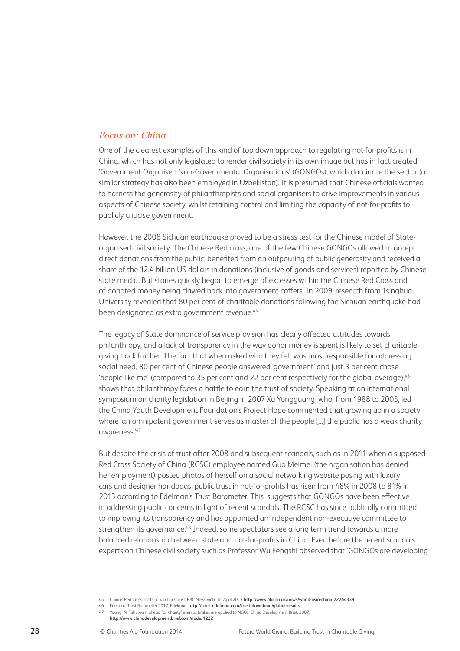#### *Focus on: China*

One of the clearest examples of this kind of top down approach to regulating not-for-profits is in China, which has not only legislated to render civil society in its own image but has in fact created 'Government Organised Non-Governmental Organisations' (GONGOs), which dominate the sector (a similar strategy has also been employed in Uzbekistan). It is presumed that Chinese officials wanted to harness the generosity of philanthropists and social organisers to drive improvements in various aspects of Chinese society, whilst retaining control and limiting the capacity of not-for-profits to publicly criticise government.

However, the 2008 Sichuan earthquake proved to be a stress test for the Chinese model of Stateorganised civil society. The Chinese Red cross, one of the few Chinese GONGOs allowed to accept direct donations from the public, benefited from an outpouring of public generosity and received a share of the 12.4 billion US dollars in donations (inclusive of goods and services) reported by Chinese state media. But stories quickly began to emerge of excesses within the Chinese Red Cross and of donated money being clawed back into government coffers. In 2009, research from Tsinghua University revealed that 80 per cent of charitable donations following the Sichuan earthquake had been designated as extra government revenue.<sup>45</sup>

The legacy of State dominance of service provision has clearly affected attitudes towards philanthropy, and a lack of transparency in the way donor money is spent is likely to set charitable giving back further. The fact that when asked who they felt was most responsible for addressing social need, 80 per cent of Chinese people answered 'government' and just 3 per cent chose 'people like me' (compared to 35 per cent and 22 per cent respectively for the global average).<sup>46</sup> shows that philanthropy faces a battle to earn the trust of society. Speaking at an international symposium on charity legislation in Beijing in 2007 Xu Yongguang who, from 1988 to 2005, led the China Youth Development Foundation's Project Hope commented that growing up in a society where 'an omnipotent government serves as master of the people [...] the public has a weak charity awareness.'47

But despite the crisis of trust after 2008 and subsequent scandals, such as in 2011 when a supposed Red Cross Society of China (RCSC) employee named Guo Meimei (the organisation has denied her employment) posted photos of herself on a social networking website posing with luxury cars and designer handbags, public trust in not-for-profits has risen from 48% in 2008 to 81% in 2013 according to Edelman's Trust Barometer. This suggests that GONGOs have been effective in addressing public concerns in light of recent scandals. The RCSC has since publically committed to improving its transparency and has appointed an independent non-executive committee to strengthen its governance.<sup>48</sup> Indeed, some spectators see a long term trend towards a more balanced relationship between state and not-for-profits in China. Even before the recent scandals experts on Chinese civil society such as Professor Wu Fengshi observed that 'GONGOs are developing

<sup>45</sup> China's Red Cross fights to win back trust, BBC News website, April 2013 **http://www.bbc.co.uk/news/world-asia-china-22244339** 

<sup>46</sup> Edelman Trust Barometer 2012, Edelman **http://trust.edelman.com/trust-download/global-results** 47 Young. N, Full steam ahead for 'charity' even as brakes are applied to NGOs, China Development Brief, 2007,

**http://www.chinadevelopmentbrief.com/node/1222**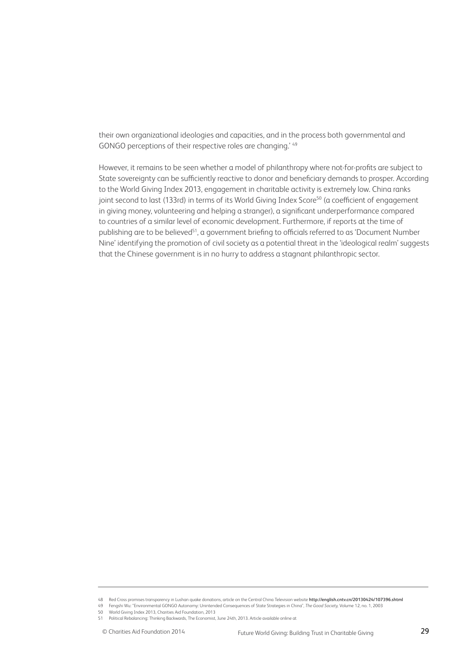their own organizational ideologies and capacities, and in the process both governmental and GONGO perceptions of their respective roles are changing.' 49

However, it remains to be seen whether a model of philanthropy where not-for-profits are subject to State sovereignty can be sufficiently reactive to donor and beneficiary demands to prosper. According to the World Giving Index 2013, engagement in charitable activity is extremely low. China ranks joint second to last (133rd) in terms of its World Giving Index Score<sup>50</sup> (a coefficient of engagement in giving money, volunteering and helping a stranger), a significant underperformance compared to countries of a similar level of economic development. Furthermore, if reports at the time of publishing are to be believed<sup>51</sup>, a government briefing to officials referred to as 'Document Number Nine' identifying the promotion of civil society as a potential threat in the 'ideological realm' suggests that the Chinese government is in no hurry to address a stagnant philanthropic sector.

<sup>48</sup> Red Cross promises transparency in Lushan quake donations, article on the Central China Television website **http://english.cntv.cn/20130424/107396.shtml** 49 Fengshi Wu: "Environmental GONGO Autonomy: Unintended Consequences of State Strategies in China", *The Good Society,* Volume 12, no. 1, 2003

<sup>50</sup> World Giving Index 2013, Charities Aid Foundation, 2013

<sup>51</sup> Political Rebalancing: Thinking Backwards, The Economist, June 24th, 2013. Article available online at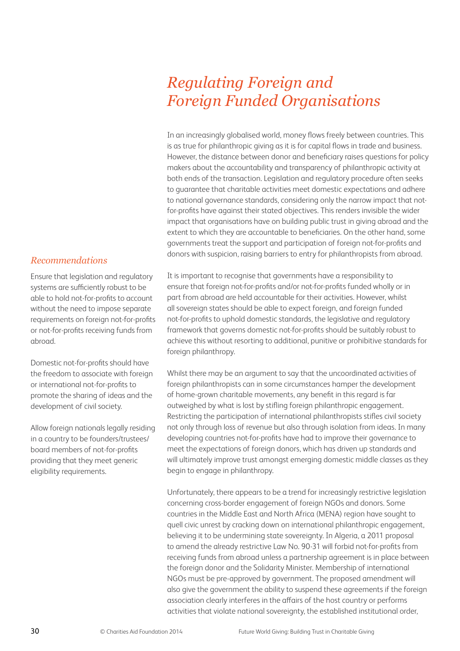# *Regulating Foreign and Foreign Funded Organisations*

In an increasingly globalised world, money flows freely between countries. This is as true for philanthropic giving as it is for capital flows in trade and business. However, the distance between donor and beneficiary raises questions for policy makers about the accountability and transparency of philanthropic activity at both ends of the transaction. Legislation and regulatory procedure often seeks to guarantee that charitable activities meet domestic expectations and adhere to national governance standards, considering only the narrow impact that notfor-profits have against their stated objectives. This renders invisible the wider impact that organisations have on building public trust in giving abroad and the extent to which they are accountable to beneficiaries. On the other hand, some governments treat the support and participation of foreign not-for-profits and donors with suspicion, raising barriers to entry for philanthropists from abroad.

It is important to recognise that governments have a responsibility to ensure that foreign not-for-profits and/or not-for-profits funded wholly or in part from abroad are held accountable for their activities. However, whilst all sovereign states should be able to expect foreign, and foreign funded not-for-profits to uphold domestic standards, the legislative and regulatory framework that governs domestic not-for-profits should be suitably robust to achieve this without resorting to additional, punitive or prohibitive standards for foreign philanthropy.

Whilst there may be an argument to say that the uncoordinated activities of foreign philanthropists can in some circumstances hamper the development of home-grown charitable movements, any benefit in this regard is far outweighed by what is lost by stifling foreign philanthropic engagement. Restricting the participation of international philanthropists stifles civil society not only through loss of revenue but also through isolation from ideas. In many developing countries not-for-profits have had to improve their governance to meet the expectations of foreign donors, which has driven up standards and will ultimately improve trust amongst emerging domestic middle classes as they begin to engage in philanthropy.

Unfortunately, there appears to be a trend for increasingly restrictive legislation concerning cross-border engagement of foreign NGOs and donors. Some countries in the Middle East and North Africa (MENA) region have sought to quell civic unrest by cracking down on international philanthropic engagement, believing it to be undermining state sovereignty. In Algeria, a 2011 proposal to amend the already restrictive Law No. 90-31 will forbid not-for-profits from receiving funds from abroad unless a partnership agreement is in place between the foreign donor and the Solidarity Minister. Membership of international NGOs must be pre-approved by government. The proposed amendment will also give the government the ability to suspend these agreements if the foreign association clearly interferes in the affairs of the host country or performs activities that violate national sovereignty, the established institutional order,

#### *Recommendations*

Ensure that legislation and regulatory systems are sufficiently robust to be able to hold not-for-profits to account without the need to impose separate requirements on foreign not-for-profits or not-for-profits receiving funds from abroad.

Domestic not-for-profits should have the freedom to associate with foreign or international not-for-profits to promote the sharing of ideas and the development of civil society.

Allow foreign nationals legally residing in a country to be founders/trustees/ board members of not-for-profits providing that they meet generic eligibility requirements.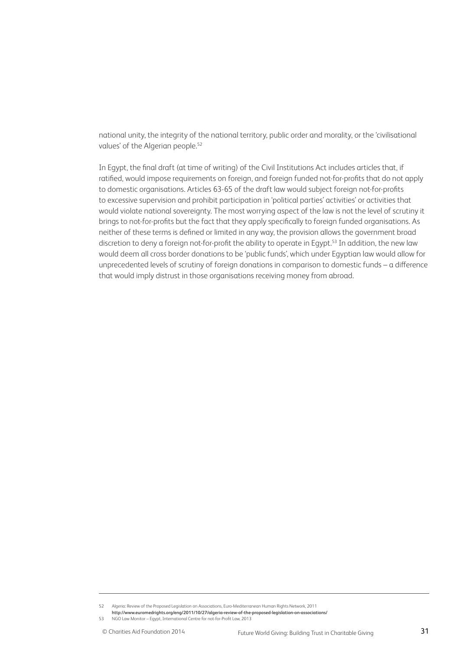national unity, the integrity of the national territory, public order and morality, or the 'civilisational values' of the Algerian people.<sup>52</sup>

In Egypt, the final draft (at time of writing) of the Civil Institutions Act includes articles that, if ratified, would impose requirements on foreign, and foreign funded not-for-profits that do not apply to domestic organisations. Articles 63-65 of the draft law would subject foreign not-for-profits to excessive supervision and prohibit participation in 'political parties' activities' or activities that would violate national sovereignty. The most worrying aspect of the law is not the level of scrutiny it brings to not-for-profits but the fact that they apply specifically to foreign funded organisations. As neither of these terms is defined or limited in any way, the provision allows the government broad discretion to deny a foreign not-for-profit the ability to operate in Egypt.<sup>53</sup> In addition, the new law would deem all cross border donations to be 'public funds', which under Egyptian law would allow for unprecedented levels of scrutiny of foreign donations in comparison to domestic funds – a difference that would imply distrust in those organisations receiving money from abroad.

<sup>52</sup> Algeria: Review of the Proposed Legislation on Associations, Euro-Mediterranean Human Rights Network, 2011

**http://www.euromedrights.org/eng/2011/10/27/algeria-review-of-the-proposed-legislation-on-associations/** 

<sup>53</sup> NGO Law Monitor – Egypt, International Centre for not-for-Profit Law, 2013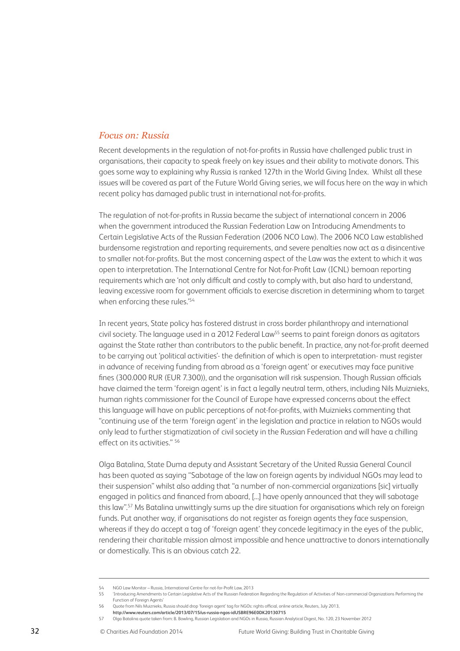#### *Focus on: Russia*

Recent developments in the regulation of not-for-profits in Russia have challenged public trust in organisations, their capacity to speak freely on key issues and their ability to motivate donors. This goes some way to explaining why Russia is ranked 127th in the World Giving Index. Whilst all these issues will be covered as part of the Future World Giving series, we will focus here on the way in which recent policy has damaged public trust in international not-for-profits.

The regulation of not-for-profits in Russia became the subject of international concern in 2006 when the government introduced the Russian Federation Law on Introducing Amendments to Certain Legislative Acts of the Russian Federation (2006 NCO Law). The 2006 NCO Law established burdensome registration and reporting requirements, and severe penalties now act as a disincentive to smaller not-for-profits. But the most concerning aspect of the Law was the extent to which it was open to interpretation. The International Centre for Not-for-Profit Law (ICNL) bemoan reporting requirements which are 'not only difficult and costly to comply with, but also hard to understand, leaving excessive room for government officials to exercise discretion in determining whom to target when enforcing these rules.'54

In recent years, State policy has fostered distrust in cross border philanthropy and international civil society. The language used in a 2012 Federal Law<sup>55</sup> seems to paint foreign donors as agitators against the State rather than contributors to the public benefit. In practice, any not-for-profit deemed to be carrying out 'political activities'- the definition of which is open to interpretation- must register in advance of receiving funding from abroad as a 'foreign agent' or executives may face punitive fines (300.000 RUR (EUR 7.300)), and the organisation will risk suspension. Though Russian officials have claimed the term 'foreign agent' is in fact a legally neutral term, others, including Nils Muiznieks, human rights commissioner for the Council of Europe have expressed concerns about the effect this language will have on public perceptions of not-for-profits, with Muiznieks commenting that "continuing use of the term 'foreign agent' in the legislation and practice in relation to NGOs would only lead to further stigmatization of civil society in the Russian Federation and will have a chilling effect on its activities." 56

Olga Batalina, State Duma deputy and Assistant Secretary of the United Russia General Council has been quoted as saying "Sabotage of the law on foreign agents by individual NGOs may lead to their suspension" whilst also adding that "a number of non-commercial organizations [sic] virtually engaged in politics and financed from aboard, [...] have openly announced that they will sabotage this law".57 Ms Batalina unwittingly sums up the dire situation for organisations which rely on foreign funds. Put another way, if organisations do not register as foreign agents they face suspension, whereas if they do accept a tag of 'foreign agent' they concede legitimacy in the eyes of the public. rendering their charitable mission almost impossible and hence unattractive to donors internationally or domestically. This is an obvious catch 22.

<sup>54</sup> NGO Law Monitor – Russia, International Centre for not-for-Profit Law, 2013

<sup>55 &#</sup>x27;Introducing Amendments to Certain Legislative Acts of the Russian Federation Regarding the Regulation of Activities of Non-commercial Organizations Performing the Function of Foreign Agents'

<sup>56</sup> Quote from Nils Muiznieks, Russia should drop 'foreign agent' tag for NGOs: rights official, online article, Reuters, July 2013,

**http://www.reuters.com/article/2013/07/15/us-russia-ngos-idUSBRE96E0DK20130715** 

<sup>57</sup> Olga Batalina quote taken from: B. Bowling, Russian Legislation and NGOs in Russia, Russian Analytical Digest, No. 120, 23 November 2012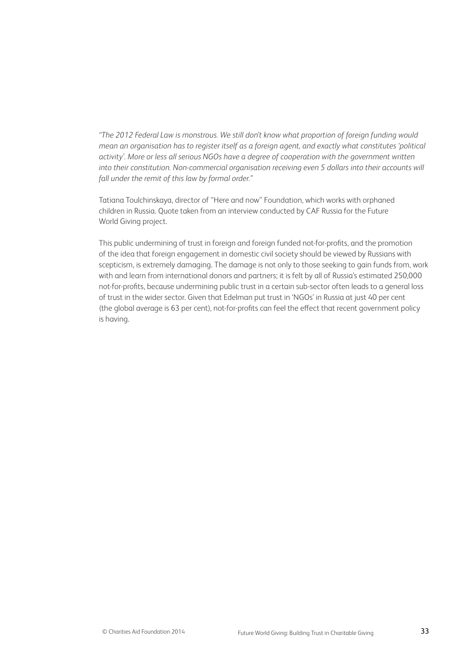*"The 2012 Federal Law is monstrous. We still don't know what proportion of foreign funding would mean an organisation has to register itself as a foreign agent, and exactly what constitutes 'political activity'. More or less all serious NGOs have a degree of cooperation with the government written into their constitution. Non-commercial organisation receiving even 5 dollars into their accounts will fall under the remit of this law by formal order."*

Tatiana Toulchinskaya, director of "Here and now" Foundation, which works with orphaned children in Russia. Quote taken from an interview conducted by CAF Russia for the Future World Giving project.

This public undermining of trust in foreign and foreign funded not-for-profits, and the promotion of the idea that foreign engagement in domestic civil society should be viewed by Russians with scepticism, is extremely damaging. The damage is not only to those seeking to gain funds from, work with and learn from international donors and partners; it is felt by all of Russia's estimated 250,000 not-for-profits, because undermining public trust in a certain sub-sector often leads to a general loss of trust in the wider sector. Given that Edelman put trust in 'NGOs' in Russia at just 40 per cent (the global average is 63 per cent), not-for-profits can feel the effect that recent government policy is having.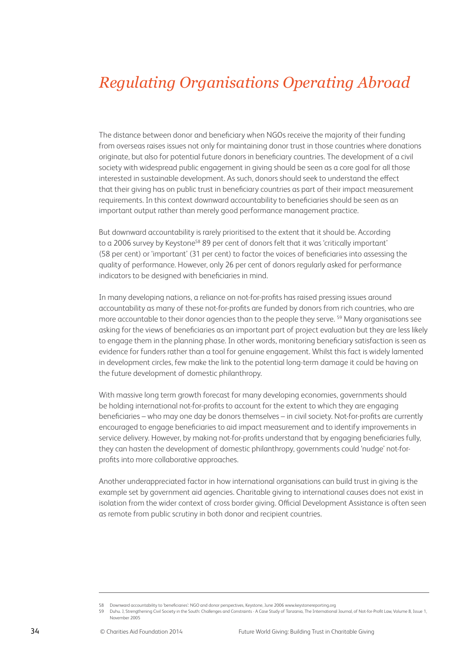# *Regulating Organisations Operating Abroad*

The distance between donor and beneficiary when NGOs receive the majority of their funding from overseas raises issues not only for maintaining donor trust in those countries where donations originate, but also for potential future donors in beneficiary countries. The development of a civil society with widespread public engagement in giving should be seen as a core goal for all those interested in sustainable development. As such, donors should seek to understand the effect that their giving has on public trust in beneficiary countries as part of their impact measurement requirements. In this context downward accountability to beneficiaries should be seen as an important output rather than merely good performance management practice.

But downward accountability is rarely prioritised to the extent that it should be. According to a 2006 survey by Keystone<sup>58</sup> 89 per cent of donors felt that it was 'critically important' (58 per cent) or 'important' (31 per cent) to factor the voices of beneficiaries into assessing the quality of performance. However, only 26 per cent of donors regularly asked for performance indicators to be designed with beneficiaries in mind.

In many developing nations, a reliance on not-for-profits has raised pressing issues around accountability as many of these not-for-profits are funded by donors from rich countries, who are more accountable to their donor agencies than to the people they serve. <sup>59</sup> Many organisations see asking for the views of beneficiaries as an important part of project evaluation but they are less likely to engage them in the planning phase. In other words, monitoring beneficiary satisfaction is seen as evidence for funders rather than a tool for genuine engagement. Whilst this fact is widely lamented in development circles, few make the link to the potential long-term damage it could be having on the future development of domestic philanthropy.

With massive long term growth forecast for many developing economies, governments should be holding international not-for-profits to account for the extent to which they are engaging beneficiaries – who may one day be donors themselves – in civil society. Not-for-profits are currently encouraged to engage beneficiaries to aid impact measurement and to identify improvements in service delivery. However, by making not-for-profits understand that by engaging beneficiaries fully, they can hasten the development of domestic philanthropy, governments could 'nudge' not-forprofits into more collaborative approaches.

Another underappreciated factor in how international organisations can build trust in giving is the example set by government aid agencies. Charitable giving to international causes does not exist in isolation from the wider context of cross border giving. Official Development Assistance is often seen as remote from public scrutiny in both donor and recipient countries.

<sup>58</sup> Downward accountability to 'beneficiaries': NGO and donor perspectives, Keystone, June 2006 www.keystonereporting.org

<sup>59</sup> Duhu. J, Strengthening Civil Society in the South: Challenges and Constraints - A Case Study of Tanzania, The International Journal, of Not-for-Profit Law, Volume 8, Issue 1, November 2005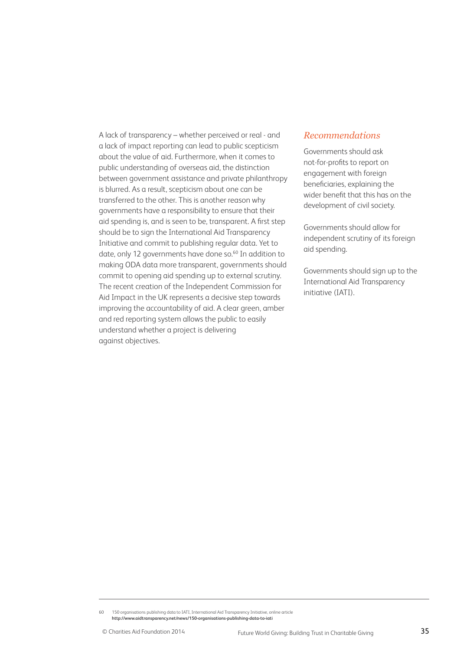A lack of transparency – whether perceived or real - and a lack of impact reporting can lead to public scepticism about the value of aid. Furthermore, when it comes to public understanding of overseas aid, the distinction between government assistance and private philanthropy is blurred. As a result, scepticism about one can be transferred to the other. This is another reason why governments have a responsibility to ensure that their aid spending is, and is seen to be, transparent. A first step should be to sign the International Aid Transparency Initiative and commit to publishing regular data. Yet to date, only 12 governments have done so.<sup>60</sup> In addition to making ODA data more transparent, governments should commit to opening aid spending up to external scrutiny. The recent creation of the Independent Commission for Aid Impact in the UK represents a decisive step towards improving the accountability of aid. A clear green, amber and red reporting system allows the public to easily understand whether a project is delivering against objectives.

#### *Recommendations*

Governments should ask not-for-profits to report on engagement with foreign beneficiaries, explaining the wider benefit that this has on the development of civil society.

Governments should allow for independent scrutiny of its foreign aid spending.

Governments should sign up to the International Aid Transparency initiative (IATI).

60 150 organisations publishing data to IATI, International Aid Transparency Initiative, online article **http://www.aidtransparency.net/news/150-organisations-publishing-data-to-iati**